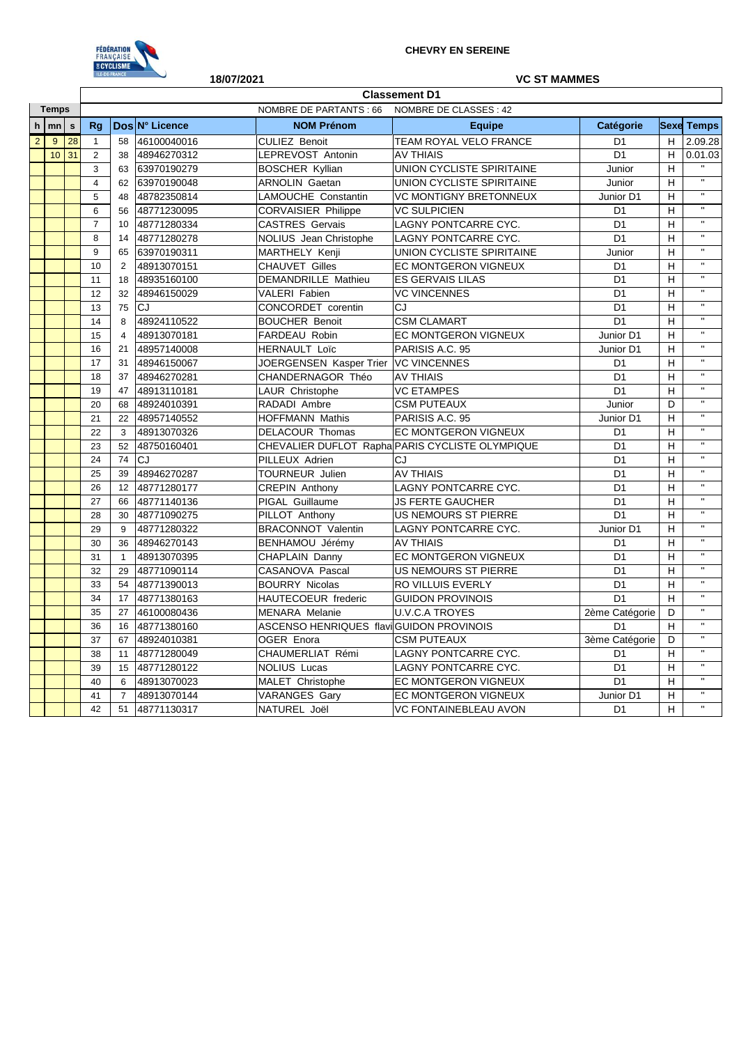

## NOMBRE DE PARTANTS : 66 NOMBRE DE CLASSES : 42 **h mn s Rg Dos N° Licence NOM Prénom Equipe Catégorie Sexe Temps** 2 9 28 1 58 46100040016 CULIEZ Benoit TEAM ROYAL VELO FRANCE D1 H 2.09.28 10 31 2 38 48946270312 LEPREVOST Antonin AV THIAIS CHEEP 21 D1 H 0.01.03 3 63 63970190279 BOSCHER Kyllian | UNION CYCLISTE SPIRITAINE | Junior | H 4 62 63970190048 ARNOLIN Gaetan UNION CYCLISTE SPIRITAINE Junior H 5 48 48782350814 LAMOUCHE Constantin VC MONTIGNY BRETONNEUX Junior D1 H 6 56 48771230095 CORVAISIER Philippe VC SULPICIEN D1 H '' 7 10 48771280334 CASTRES Gervais LAGNY PONTCARRE CYC. D1 H '' 8 14 48771280278 NOLIUS Jean Christophe LAGNY PONTCARRE CYC. D1 H ''<br>0 65 62972100211 MARTUFLY Kesii UNION CYCLISTE SPIRITANIE 9 65 63970190311 MARTHELY Kenji UNION CYCLISTE SPIRITAINE Junior H 10 2 48913070151 CHAUVET Gilles EC MONTGERON VIGNEUX D1 H '' 11 18 48935160100 DEMANDRILLE Mathieu ES GERVAIS LILAS D1 H '' 12 32 48946150029 VALERI Fabien VC VINCENNES D1 H '' 13 75 CJ CONCORDET corentin CJ D1 H '' 14 8 48924110522 BOUCHER Benoit CSM CLAMART D1 H " 15 4 48913070181 FARDEAU Robin EC MONTGERON VIGNEUX Junior D1 H '' 16 21 48957140008 HERNAULT Loïc PARISIS A.C. 95 Junior D1 H '' 17 31 48946150067 JOERGENSEN Kasper Trier VC VINCENNES D1 H <sup>"</sup><br>14 31 48946150067 JOERGENSEN Kasper Trier VC VINCENNES 18 37 48946270281 CHANDERNAGOR Théo AV THIAIS D1 H '' 19 47 48913110181 LAUR Christophe VC ETAMPES D1 H '' 20 | 68 |48924010391 |RADADI Ambre |CSM PUTEAUX Junior | D | " 21 22 48957140552 HOFFMANN Mathis PARISIS A.C. 95 Junior D1 H '' 22 3 48913070326 DELACOUR Thomas EC MONTGERON VIGNEUX D1 H '' 23 52 48750160401 CHEVALIER DUFLOT Rapha PARIS CYCLISTE OLYMPIQUE D1 H ''<br>24 74 CL DULLEUX Adrian CL 24 74 CJ PILLEUX Adrien CJ D1 H "<br>25 29 48946279387 TOUPNEUR Lilies AV THAIS 25 39 48946270287 TOURNEUR Julien AV THIAIS D1 H '' 26 12 48771280177 CREPIN Anthony LAGNY PONTCARRE CYC. D1 H 27 66 48771140136 PIGAL Guillaume JS FERTE GAUCHER D1 H '' 28 30 48771090275 PILLOT Anthony US NEMOURS ST PIERRE D1 H " 29 9 48771280322 BRACONNOT Valentin LAGNY PONTCARRE CYC. Junior D1 H '' 30 36 48946270143 BENHAMOU Jérémy AV THIAIS D1 H '' 31 | 1 48913070395 CHAPLAIN Danny | EC MONTGERON VIGNEUX | D1 | H 32 29 48771090114 CASANOVA Pascal US NEMOURS ST PIERRE D1 H ''<br>22 54 48771200012 DOURRY Nicolae BO VILLUS EVERLY 33 54 48771390013 BOURRY Nicolas RO VILLUIS EVERLY D1 H ''<br>24 17 48771290162 HAUTECOEUR frederic CURON BROVINOIS 34 17 48771380163 HAUTECOEUR frederic GUIDON PROVINOIS D1 H '' 35 27 46100080436 MENARA Melanie U.V.C.A TROYES 2ème Catégorie D '' 36 16 48771380160 ASCENSO HENRIQUES flavio miguel GUIDON PROVINOIS D1 H '' 37 67 48924010381 OGER Enora CSM PUTEAUX 3ème Catégorie D '' 38 11 48771280049 CHAUMERLIAT Rémi LAGNY PONTCARRE CYC. D1 H '' 39 15 48771280122 NOLIUS Lucas LAGNY PONTCARRE CYC. D1 H "<br>39 16 48913070023 MALET Christophe FC MONTGERON VIGNELLY D1 H " 40 6 48913070023 MALET Christophe EC MONTGERON VIGNEUX D1 H '' **Classement D1 18/07/2021 VC ST MAMMES Temps**

41 7 48913070144 VARANGES Gary EC MONTGERON VIGNEUX Junior D1 H '' 42 51 48771130317 NATUREL Joël VC FONTAINEBLEAU AVON D1 H ''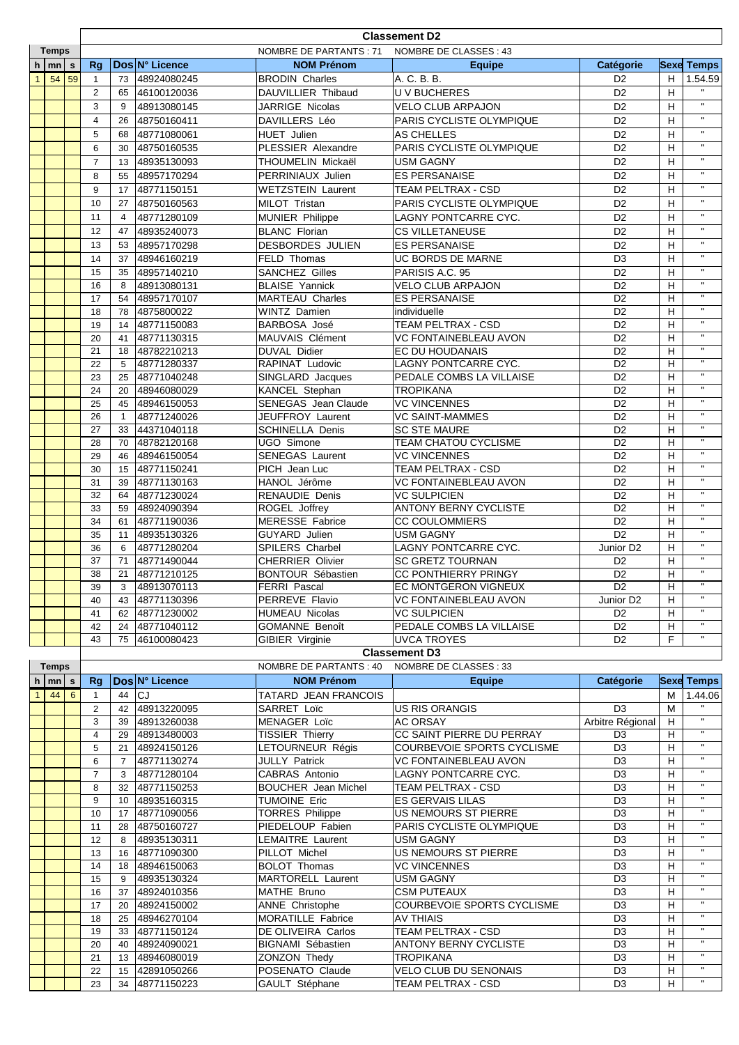| <b>NOMBRE DE PARTANTS: 71</b><br>NOMBRE DE CLASSES : 43<br><b>Temps</b><br>Dos N° Licence<br>$h \mid mn \mid s$<br><b>NOM Prénom</b><br>Rq<br><b>Catégorie</b><br><b>Equipe</b><br><b>Sexe Temps</b><br>A. C. B. B.<br>$1 \vert 54 \vert 59$<br>48924080245<br><b>BRODIN Charles</b><br>D <sub>2</sub><br>H<br>73<br>$\mathbf{1}$<br>2<br>65<br>DAUVILLIER Thibaud<br><b>UV BUCHERES</b><br>D <sub>2</sub><br>H<br>46100120036<br>$\mathbf{H}$<br><b>VELO CLUB ARPAJON</b><br>3<br>9<br>48913080145<br>JARRIGE Nicolas<br>D <sub>2</sub><br>H<br>$\mathbf{H}$<br>48750160411<br>DAVILLERS Léo<br>PARIS CYCLISTE OLYMPIQUE<br>D <sub>2</sub><br>$\overline{4}$<br>26<br>H<br>$\mathbf{H}$<br>48771080061<br><b>HUET Julien</b><br>AS CHELLES<br>D <sub>2</sub><br>H<br>5<br>68<br>$\mathbf{H}$<br>D <sub>2</sub><br>PLESSIER Alexandre<br>PARIS CYCLISTE OLYMPIQUE<br>H<br>6<br>48750160535<br>30<br>$\mathbf{H}$<br>D <sub>2</sub><br>$\overline{7}$<br>48935130093<br>THOUMELIN Mickaël<br><b>USM GAGNY</b><br>H<br>13<br>$\mathbf{H}$<br>D <sub>2</sub><br>8<br>48957170294<br>PERRINIAUX Julien<br><b>ES PERSANAISE</b><br>H<br>55<br>$\mathbf{H}$<br>D <sub>2</sub><br>9<br><b>WETZSTEIN Laurent</b><br>TEAM PELTRAX - CSD<br>H<br>17<br>48771150151<br>$\mathbf{H}$<br>PARIS CYCLISTE OLYMPIQUE<br>MILOT Tristan<br>D <sub>2</sub><br>H<br>10<br>27<br>48750160563<br>$\mathbf{H}$<br>48771280109<br><b>MUNIER Philippe</b><br>LAGNY PONTCARRE CYC.<br>D <sub>2</sub><br>H<br>11<br>$\overline{4}$<br>$\mathbf{H}$<br>48935240073<br><b>BLANC Florian</b><br><b>CS VILLETANEUSE</b><br>D <sub>2</sub><br>H<br>12<br>47<br>$\mathbf{H}$<br>D <sub>2</sub><br>48957170298<br>DESBORDES JULIEN<br><b>ES PERSANAISE</b><br>H<br>13<br>53<br>$\mathbf{H}$<br>D <sub>3</sub><br>48946160219<br>FELD Thomas<br>UC BORDS DE MARNE<br>H<br>14<br>37<br>$\mathbf{u}$<br>D <sub>2</sub><br>48957140210<br><b>SANCHEZ Gilles</b><br>PARISIS A.C. 95<br>H<br>15<br>35<br>$\mathbf{H}$<br><b>BLAISE Yannick</b><br><b>VELO CLUB ARPAJON</b><br>D <sub>2</sub><br>H<br>48913080131<br>16<br>8<br>48957170107<br><b>MARTEAU Charles</b><br><b>ES PERSANAISE</b><br>D <sub>2</sub><br>17<br>54<br>H<br>$\mathbf{H}$<br>D <sub>2</sub><br>18<br>4875800022<br>WINTZ Damien<br>H<br>78<br>individuelle<br>$\mathbf{H}$<br>48771150083<br><b>BARBOSA José</b><br>TEAM PELTRAX - CSD<br>D <sub>2</sub><br>H<br>19<br>14<br>$\mathbf{H}$<br>MAUVAIS Clément<br><b>VC FONTAINEBLEAU AVON</b><br>D <sub>2</sub><br>H<br>41<br>48771130315<br>20<br>$\mathbf{H}$<br>48782210213<br>DUVAL Didier<br>EC DU HOUDANAIS<br>D <sub>2</sub><br>21<br>H<br>18<br>$\mathbf{H}$<br>D <sub>2</sub><br>22<br>5<br>48771280337<br>RAPINAT Ludovic<br>LAGNY PONTCARRE CYC.<br>H<br>$\mathbf{H}$<br>PEDALE COMBS LA VILLAISE<br>D <sub>2</sub><br>23<br>25<br>48771040248<br>SINGLARD Jacques<br>H<br>$\mathbf{H}$<br>48946080029<br>KANCEL Stephan<br><b>TROPIKANA</b><br>D <sub>2</sub><br>H<br>24<br>20<br>$\mathbf{H}$<br>SENEGAS Jean Claude<br><b>VC VINCENNES</b><br>D <sub>2</sub><br>H<br>25<br>45<br>48946150053<br>$\mathbf{u}$<br>JEUFFROY Laurent<br><b>VC SAINT-MAMMES</b><br>D <sub>2</sub><br>H<br>26<br>48771240026<br>$\mathbf{1}$<br>$\mathbf{H}$<br><b>SCHINELLA Denis</b><br><b>SC STE MAURE</b><br>D <sub>2</sub><br>44371040118<br>H<br>27<br>33<br>$\mathbf{H}$<br>48782120168<br>UGO Simone<br><b>TEAM CHATOU CYCLISME</b><br>D <sub>2</sub><br>H<br>28<br>70<br>$\mathbf{H}$<br><b>SENEGAS Laurent</b><br><b>VC VINCENNES</b><br>29<br>48946150054<br>D <sub>2</sub><br>46<br>н<br>$\mathbf{H}$<br>48771150241<br>PICH Jean Luc<br>TEAM PELTRAX - CSD<br>D <sub>2</sub><br>H<br>30<br>15<br>$\mathbf{H}$<br>D <sub>2</sub><br>48771130163<br>HANOL Jérôme<br>VC FONTAINEBLEAU AVON<br>H<br>31<br>39<br>$\overline{u}$<br>D <sub>2</sub><br>48771230024<br><b>RENAUDIE Denis</b><br><b>VC SULPICIEN</b><br>H<br>32<br>64<br>$\mathbf{H}$<br>ANTONY BERNY CYCLISTE<br>48924090394<br>ROGEL Joffrey<br>D <sub>2</sub><br>33<br>H<br>59<br>$\mathbf{H}$<br>MERESSE Fabrice<br>34<br>48771190036<br><b>CC COULOMMIERS</b><br>D <sub>2</sub><br>H<br>61<br>$\mathbf{H}$<br>D <sub>2</sub><br>35<br>GUYARD Julien<br><b>USM GAGNY</b><br>H<br>11<br>48935130326<br>$\mathbf{H}$<br>LAGNY PONTCARRE CYC.<br>SPILERS Charbel<br>Junior D <sub>2</sub><br>H<br>48771280204<br>36<br>6<br>$\mathbf{H}$<br>48771490044<br><b>CHERRIER Olivier</b><br><b>SC GRETZ TOURNAN</b><br>H<br>37<br>71<br>D <sub>2</sub><br><b>BONTOUR Sébastien</b><br><b>CC PONTHIERRY PRINGY</b><br>H<br>48771210125<br>D <sub>2</sub><br>38<br>21<br>EC MONTGERON VIGNEUX<br>$\overline{D2}$<br>$\overline{H}$<br>39<br>$\mathbf{3}$<br>48913070113<br><b>FERRI Pascal</b><br>40<br>48771130396<br>PERREVE Flavio<br>VC FONTAINEBLEAU AVON<br>Junior D <sub>2</sub><br>H<br>43<br>$\mathbf{H}$<br><b>VC SULPICIEN</b><br>48771230002<br><b>HUMEAU Nicolas</b><br>D <sub>2</sub><br>H<br>41<br>62<br>$\mathbf{H}$<br>GOMANNE Benoît<br>48771040112<br>PEDALE COMBS LA VILLAISE<br>D <sub>2</sub><br>H<br>42<br>24<br>$\mathbf{H}$<br>F<br>D <sub>2</sub><br>46100080423<br>GIBIER Virginie<br><b>UVCA TROYES</b><br>43<br>75<br><b>Classement D3</b><br>NOMBRE DE PARTANTS: 40<br>NOMBRE DE CLASSES : 33<br><b>Temps</b><br>Dos N° Licence<br><b>NOM Prénom</b><br><b>Rg</b><br>Catégorie<br><b>Sexe Temps</b><br><b>Equipe</b><br>h<br>$ mn $ s<br>44<br>44<br>lCJ<br><b>TATARD JEAN FRANCOIS</b><br>$6\overline{6}$<br>$\mathbf{1}$<br>м<br>$\mathbf{1}$<br>48913220095<br>SARRET Loïc<br><b>US RIS ORANGIS</b><br>D <sub>3</sub><br>2<br>42<br>м<br>$\mathbf{H}$<br>MENAGER Loïc<br><b>AC ORSAY</b><br>Arbitre Régional<br>3<br>48913260038<br>H<br>39<br>$\mathbf{H}$<br>48913480003<br><b>TISSIER Thierry</b><br>CC SAINT PIERRE DU PERRAY<br>D <sub>3</sub><br>$\overline{4}$<br>H<br>29<br>$\mathbf{u}$<br>LETOURNEUR Régis<br>COURBEVOIE SPORTS CYCLISME<br>D <sub>3</sub><br>H<br>5<br>48924150126<br>21<br>$\mathbf{u}$<br>48771130274<br>JULLY Patrick<br>VC FONTAINEBLEAU AVON<br>D <sub>3</sub><br>6<br>H<br>$\overline{7}$<br>$\mathbf{H}$<br>$\overline{7}$<br>48771280104<br>CABRAS Antonio<br>LAGNY PONTCARRE CYC.<br>D <sub>3</sub><br>H<br>3<br>$\mathbf{H}$<br>D <sub>3</sub><br>8<br>48771150253<br><b>BOUCHER</b> Jean Michel<br>TEAM PELTRAX - CSD<br>н<br>32<br>$\mathbf{H}$<br><b>TUMOINE Eric</b><br>D <sub>3</sub><br>48935160315<br>ES GERVAIS LILAS<br>H<br>9<br>10<br>$\mathbf{u}$<br><b>TORRES Philippe</b><br>US NEMOURS ST PIERRE<br>D <sub>3</sub><br>10<br>48771090056<br>H<br>17<br>$\mathbf{H}$<br>D <sub>3</sub><br>48750160727<br>PIEDELOUP Fabien<br>PARIS CYCLISTE OLYMPIQUE<br>H<br>11<br>28<br>$\mathbf{H}$<br>D <sub>3</sub><br>48935130311<br>LEMAITRE Laurent<br><b>USM GAGNY</b><br>12<br>н<br>8<br>$\mathbf{H}$<br>PILLOT Michel<br>D <sub>3</sub><br>48771090300<br><b>US NEMOURS ST PIERRE</b><br>н<br>13<br>16<br>$\mathbf{H}$<br><b>BOLOT Thomas</b><br><b>VC VINCENNES</b><br>D <sub>3</sub><br>48946150063<br>н<br>14<br>18<br>$\mathbf{H}$<br>MARTORELL Laurent<br><b>USM GAGNY</b><br>D <sub>3</sub><br>н<br>15<br>48935130324<br>9<br>$\mathbf{H}$<br>MATHE Bruno<br><b>CSM PUTEAUX</b><br>D <sub>3</sub><br>48924010356<br>н<br>16<br>37<br>$\mathbf{H}$<br>D <sub>3</sub><br>ANNE Christophe<br>COURBEVOIE SPORTS CYCLISME<br>н<br>48924150002<br>17<br>20<br>$\mathbf{H}$<br>48946270104<br>MORATILLE Fabrice<br><b>AV THIAIS</b><br>D <sub>3</sub><br>18<br>25<br>H<br>$\mathbf{H}$<br>48771150124<br>DE OLIVEIRA Carlos<br>TEAM PELTRAX - CSD<br>19<br>D <sub>3</sub><br>H<br>33<br>$\mathbf{H}$<br>BIGNAMI Sébastien<br>D <sub>3</sub><br>H<br>48924090021<br><b>ANTONY BERNY CYCLISTE</b><br>20<br>40<br>$\mathbf{H}$<br>ZONZON Thedy<br>D <sub>3</sub><br>48946080019<br><b>TROPIKANA</b><br>H<br>21<br>13<br>$\mathbf{H}$<br>POSENATO Claude<br>VELO CLUB DU SENONAIS<br>D <sub>3</sub><br>H<br>22<br>42891050266<br>15<br>$\mathbf{u}$<br>D <sub>3</sub><br>23<br>48771150223<br>GAULT Stéphane<br>TEAM PELTRAX - CSD<br>H<br>34 |  |  | <b>Classement D2</b> |  |  |  |  |  |         |  |  |
|----------------------------------------------------------------------------------------------------------------------------------------------------------------------------------------------------------------------------------------------------------------------------------------------------------------------------------------------------------------------------------------------------------------------------------------------------------------------------------------------------------------------------------------------------------------------------------------------------------------------------------------------------------------------------------------------------------------------------------------------------------------------------------------------------------------------------------------------------------------------------------------------------------------------------------------------------------------------------------------------------------------------------------------------------------------------------------------------------------------------------------------------------------------------------------------------------------------------------------------------------------------------------------------------------------------------------------------------------------------------------------------------------------------------------------------------------------------------------------------------------------------------------------------------------------------------------------------------------------------------------------------------------------------------------------------------------------------------------------------------------------------------------------------------------------------------------------------------------------------------------------------------------------------------------------------------------------------------------------------------------------------------------------------------------------------------------------------------------------------------------------------------------------------------------------------------------------------------------------------------------------------------------------------------------------------------------------------------------------------------------------------------------------------------------------------------------------------------------------------------------------------------------------------------------------------------------------------------------------------------------------------------------------------------------------------------------------------------------------------------------------------------------------------------------------------------------------------------------------------------------------------------------------------------------------------------------------------------------------------------------------------------------------------------------------------------------------------------------------------------------------------------------------------------------------------------------------------------------------------------------------------------------------------------------------------------------------------------------------------------------------------------------------------------------------------------------------------------------------------------------------------------------------------------------------------------------------------------------------------------------------------------------------------------------------------------------------------------------------------------------------------------------------------------------------------------------------------------------------------------------------------------------------------------------------------------------------------------------------------------------------------------------------------------------------------------------------------------------------------------------------------------------------------------------------------------------------------------------------------------------------------------------------------------------------------------------------------------------------------------------------------------------------------------------------------------------------------------------------------------------------------------------------------------------------------------------------------------------------------------------------------------------------------------------------------------------------------------------------------------------------------------------------------------------------------------------------------------------------------------------------------------------------------------------------------------------------------------------------------------------------------------------------------------------------------------------------------------------------------------------------------------------------------------------------------------------------------------------------------------------------------------------------------------------------------------------------------------------------------------------------------------------------------------------------------------------------------------------------------------------------------------------------------------------------------------------------------------------------------------------------------------------------------------------------------------------------------------------------------------------------------------------------------------------------------------------------------------------------------------------------------------------------------------------------------------------------------------------------------------------------------------------------------------------------------------------------------------------------------------------------------------------------------------------------------------------------------------------------------------------------------------------------------------------------------------------------------------------------------------------------------------------------------------------------------------------------------------------------------------------------------------------------------------------------------------------------------------------------------------------------------------------------------------------------------------------------------------------------------------------------------------------------------------------------------------------------------------------------------------------------------------------------------------------------------------------------------------------------------------------------------------------------------------------------------------------------------------------------------------------------------------------------------------------------------------------------------------------------------------------------------------------------------------------------------------------------------------------------------------------------------------------------------------------------------------------------------------------------------------------------------------------------------------------------------------------------------------------------------------------------------------------------------------------------------------------------------------------------------------------------------------------------------------------------------------------------------------------------------------------------------------------------------------------------------------------------------------------------------------------------------------------------------------------------|--|--|----------------------|--|--|--|--|--|---------|--|--|
|                                                                                                                                                                                                                                                                                                                                                                                                                                                                                                                                                                                                                                                                                                                                                                                                                                                                                                                                                                                                                                                                                                                                                                                                                                                                                                                                                                                                                                                                                                                                                                                                                                                                                                                                                                                                                                                                                                                                                                                                                                                                                                                                                                                                                                                                                                                                                                                                                                                                                                                                                                                                                                                                                                                                                                                                                                                                                                                                                                                                                                                                                                                                                                                                                                                                                                                                                                                                                                                                                                                                                                                                                                                                                                                                                                                                                                                                                                                                                                                                                                                                                                                                                                                                                                                                                                                                                                                                                                                                                                                                                                                                                                                                                                                                                                                                                                                                                                                                                                                                                                                                                                                                                                                                                                                                                                                                                                                                                                                                                                                                                                                                                                                                                                                                                                                                                                                                                                                                                                                                                                                                                                                                                                                                                                                                                                                                                                                                                                                                                                                                                                                                                                                                                                                                                                                                                                                                                                                                                                                                                                                                                                                                                                                                                                                                                                                                                                                                                                                                                                                                                                                                                                                                                                                                                                                                                                                                                                                                                                                                                                                          |  |  |                      |  |  |  |  |  |         |  |  |
|                                                                                                                                                                                                                                                                                                                                                                                                                                                                                                                                                                                                                                                                                                                                                                                                                                                                                                                                                                                                                                                                                                                                                                                                                                                                                                                                                                                                                                                                                                                                                                                                                                                                                                                                                                                                                                                                                                                                                                                                                                                                                                                                                                                                                                                                                                                                                                                                                                                                                                                                                                                                                                                                                                                                                                                                                                                                                                                                                                                                                                                                                                                                                                                                                                                                                                                                                                                                                                                                                                                                                                                                                                                                                                                                                                                                                                                                                                                                                                                                                                                                                                                                                                                                                                                                                                                                                                                                                                                                                                                                                                                                                                                                                                                                                                                                                                                                                                                                                                                                                                                                                                                                                                                                                                                                                                                                                                                                                                                                                                                                                                                                                                                                                                                                                                                                                                                                                                                                                                                                                                                                                                                                                                                                                                                                                                                                                                                                                                                                                                                                                                                                                                                                                                                                                                                                                                                                                                                                                                                                                                                                                                                                                                                                                                                                                                                                                                                                                                                                                                                                                                                                                                                                                                                                                                                                                                                                                                                                                                                                                                                          |  |  |                      |  |  |  |  |  |         |  |  |
|                                                                                                                                                                                                                                                                                                                                                                                                                                                                                                                                                                                                                                                                                                                                                                                                                                                                                                                                                                                                                                                                                                                                                                                                                                                                                                                                                                                                                                                                                                                                                                                                                                                                                                                                                                                                                                                                                                                                                                                                                                                                                                                                                                                                                                                                                                                                                                                                                                                                                                                                                                                                                                                                                                                                                                                                                                                                                                                                                                                                                                                                                                                                                                                                                                                                                                                                                                                                                                                                                                                                                                                                                                                                                                                                                                                                                                                                                                                                                                                                                                                                                                                                                                                                                                                                                                                                                                                                                                                                                                                                                                                                                                                                                                                                                                                                                                                                                                                                                                                                                                                                                                                                                                                                                                                                                                                                                                                                                                                                                                                                                                                                                                                                                                                                                                                                                                                                                                                                                                                                                                                                                                                                                                                                                                                                                                                                                                                                                                                                                                                                                                                                                                                                                                                                                                                                                                                                                                                                                                                                                                                                                                                                                                                                                                                                                                                                                                                                                                                                                                                                                                                                                                                                                                                                                                                                                                                                                                                                                                                                                                                          |  |  |                      |  |  |  |  |  | 1.54.59 |  |  |
|                                                                                                                                                                                                                                                                                                                                                                                                                                                                                                                                                                                                                                                                                                                                                                                                                                                                                                                                                                                                                                                                                                                                                                                                                                                                                                                                                                                                                                                                                                                                                                                                                                                                                                                                                                                                                                                                                                                                                                                                                                                                                                                                                                                                                                                                                                                                                                                                                                                                                                                                                                                                                                                                                                                                                                                                                                                                                                                                                                                                                                                                                                                                                                                                                                                                                                                                                                                                                                                                                                                                                                                                                                                                                                                                                                                                                                                                                                                                                                                                                                                                                                                                                                                                                                                                                                                                                                                                                                                                                                                                                                                                                                                                                                                                                                                                                                                                                                                                                                                                                                                                                                                                                                                                                                                                                                                                                                                                                                                                                                                                                                                                                                                                                                                                                                                                                                                                                                                                                                                                                                                                                                                                                                                                                                                                                                                                                                                                                                                                                                                                                                                                                                                                                                                                                                                                                                                                                                                                                                                                                                                                                                                                                                                                                                                                                                                                                                                                                                                                                                                                                                                                                                                                                                                                                                                                                                                                                                                                                                                                                                                          |  |  |                      |  |  |  |  |  |         |  |  |
|                                                                                                                                                                                                                                                                                                                                                                                                                                                                                                                                                                                                                                                                                                                                                                                                                                                                                                                                                                                                                                                                                                                                                                                                                                                                                                                                                                                                                                                                                                                                                                                                                                                                                                                                                                                                                                                                                                                                                                                                                                                                                                                                                                                                                                                                                                                                                                                                                                                                                                                                                                                                                                                                                                                                                                                                                                                                                                                                                                                                                                                                                                                                                                                                                                                                                                                                                                                                                                                                                                                                                                                                                                                                                                                                                                                                                                                                                                                                                                                                                                                                                                                                                                                                                                                                                                                                                                                                                                                                                                                                                                                                                                                                                                                                                                                                                                                                                                                                                                                                                                                                                                                                                                                                                                                                                                                                                                                                                                                                                                                                                                                                                                                                                                                                                                                                                                                                                                                                                                                                                                                                                                                                                                                                                                                                                                                                                                                                                                                                                                                                                                                                                                                                                                                                                                                                                                                                                                                                                                                                                                                                                                                                                                                                                                                                                                                                                                                                                                                                                                                                                                                                                                                                                                                                                                                                                                                                                                                                                                                                                                                          |  |  |                      |  |  |  |  |  |         |  |  |
|                                                                                                                                                                                                                                                                                                                                                                                                                                                                                                                                                                                                                                                                                                                                                                                                                                                                                                                                                                                                                                                                                                                                                                                                                                                                                                                                                                                                                                                                                                                                                                                                                                                                                                                                                                                                                                                                                                                                                                                                                                                                                                                                                                                                                                                                                                                                                                                                                                                                                                                                                                                                                                                                                                                                                                                                                                                                                                                                                                                                                                                                                                                                                                                                                                                                                                                                                                                                                                                                                                                                                                                                                                                                                                                                                                                                                                                                                                                                                                                                                                                                                                                                                                                                                                                                                                                                                                                                                                                                                                                                                                                                                                                                                                                                                                                                                                                                                                                                                                                                                                                                                                                                                                                                                                                                                                                                                                                                                                                                                                                                                                                                                                                                                                                                                                                                                                                                                                                                                                                                                                                                                                                                                                                                                                                                                                                                                                                                                                                                                                                                                                                                                                                                                                                                                                                                                                                                                                                                                                                                                                                                                                                                                                                                                                                                                                                                                                                                                                                                                                                                                                                                                                                                                                                                                                                                                                                                                                                                                                                                                                                          |  |  |                      |  |  |  |  |  |         |  |  |
|                                                                                                                                                                                                                                                                                                                                                                                                                                                                                                                                                                                                                                                                                                                                                                                                                                                                                                                                                                                                                                                                                                                                                                                                                                                                                                                                                                                                                                                                                                                                                                                                                                                                                                                                                                                                                                                                                                                                                                                                                                                                                                                                                                                                                                                                                                                                                                                                                                                                                                                                                                                                                                                                                                                                                                                                                                                                                                                                                                                                                                                                                                                                                                                                                                                                                                                                                                                                                                                                                                                                                                                                                                                                                                                                                                                                                                                                                                                                                                                                                                                                                                                                                                                                                                                                                                                                                                                                                                                                                                                                                                                                                                                                                                                                                                                                                                                                                                                                                                                                                                                                                                                                                                                                                                                                                                                                                                                                                                                                                                                                                                                                                                                                                                                                                                                                                                                                                                                                                                                                                                                                                                                                                                                                                                                                                                                                                                                                                                                                                                                                                                                                                                                                                                                                                                                                                                                                                                                                                                                                                                                                                                                                                                                                                                                                                                                                                                                                                                                                                                                                                                                                                                                                                                                                                                                                                                                                                                                                                                                                                                                          |  |  |                      |  |  |  |  |  |         |  |  |
|                                                                                                                                                                                                                                                                                                                                                                                                                                                                                                                                                                                                                                                                                                                                                                                                                                                                                                                                                                                                                                                                                                                                                                                                                                                                                                                                                                                                                                                                                                                                                                                                                                                                                                                                                                                                                                                                                                                                                                                                                                                                                                                                                                                                                                                                                                                                                                                                                                                                                                                                                                                                                                                                                                                                                                                                                                                                                                                                                                                                                                                                                                                                                                                                                                                                                                                                                                                                                                                                                                                                                                                                                                                                                                                                                                                                                                                                                                                                                                                                                                                                                                                                                                                                                                                                                                                                                                                                                                                                                                                                                                                                                                                                                                                                                                                                                                                                                                                                                                                                                                                                                                                                                                                                                                                                                                                                                                                                                                                                                                                                                                                                                                                                                                                                                                                                                                                                                                                                                                                                                                                                                                                                                                                                                                                                                                                                                                                                                                                                                                                                                                                                                                                                                                                                                                                                                                                                                                                                                                                                                                                                                                                                                                                                                                                                                                                                                                                                                                                                                                                                                                                                                                                                                                                                                                                                                                                                                                                                                                                                                                                          |  |  |                      |  |  |  |  |  |         |  |  |
|                                                                                                                                                                                                                                                                                                                                                                                                                                                                                                                                                                                                                                                                                                                                                                                                                                                                                                                                                                                                                                                                                                                                                                                                                                                                                                                                                                                                                                                                                                                                                                                                                                                                                                                                                                                                                                                                                                                                                                                                                                                                                                                                                                                                                                                                                                                                                                                                                                                                                                                                                                                                                                                                                                                                                                                                                                                                                                                                                                                                                                                                                                                                                                                                                                                                                                                                                                                                                                                                                                                                                                                                                                                                                                                                                                                                                                                                                                                                                                                                                                                                                                                                                                                                                                                                                                                                                                                                                                                                                                                                                                                                                                                                                                                                                                                                                                                                                                                                                                                                                                                                                                                                                                                                                                                                                                                                                                                                                                                                                                                                                                                                                                                                                                                                                                                                                                                                                                                                                                                                                                                                                                                                                                                                                                                                                                                                                                                                                                                                                                                                                                                                                                                                                                                                                                                                                                                                                                                                                                                                                                                                                                                                                                                                                                                                                                                                                                                                                                                                                                                                                                                                                                                                                                                                                                                                                                                                                                                                                                                                                                                          |  |  |                      |  |  |  |  |  |         |  |  |
|                                                                                                                                                                                                                                                                                                                                                                                                                                                                                                                                                                                                                                                                                                                                                                                                                                                                                                                                                                                                                                                                                                                                                                                                                                                                                                                                                                                                                                                                                                                                                                                                                                                                                                                                                                                                                                                                                                                                                                                                                                                                                                                                                                                                                                                                                                                                                                                                                                                                                                                                                                                                                                                                                                                                                                                                                                                                                                                                                                                                                                                                                                                                                                                                                                                                                                                                                                                                                                                                                                                                                                                                                                                                                                                                                                                                                                                                                                                                                                                                                                                                                                                                                                                                                                                                                                                                                                                                                                                                                                                                                                                                                                                                                                                                                                                                                                                                                                                                                                                                                                                                                                                                                                                                                                                                                                                                                                                                                                                                                                                                                                                                                                                                                                                                                                                                                                                                                                                                                                                                                                                                                                                                                                                                                                                                                                                                                                                                                                                                                                                                                                                                                                                                                                                                                                                                                                                                                                                                                                                                                                                                                                                                                                                                                                                                                                                                                                                                                                                                                                                                                                                                                                                                                                                                                                                                                                                                                                                                                                                                                                                          |  |  |                      |  |  |  |  |  |         |  |  |
|                                                                                                                                                                                                                                                                                                                                                                                                                                                                                                                                                                                                                                                                                                                                                                                                                                                                                                                                                                                                                                                                                                                                                                                                                                                                                                                                                                                                                                                                                                                                                                                                                                                                                                                                                                                                                                                                                                                                                                                                                                                                                                                                                                                                                                                                                                                                                                                                                                                                                                                                                                                                                                                                                                                                                                                                                                                                                                                                                                                                                                                                                                                                                                                                                                                                                                                                                                                                                                                                                                                                                                                                                                                                                                                                                                                                                                                                                                                                                                                                                                                                                                                                                                                                                                                                                                                                                                                                                                                                                                                                                                                                                                                                                                                                                                                                                                                                                                                                                                                                                                                                                                                                                                                                                                                                                                                                                                                                                                                                                                                                                                                                                                                                                                                                                                                                                                                                                                                                                                                                                                                                                                                                                                                                                                                                                                                                                                                                                                                                                                                                                                                                                                                                                                                                                                                                                                                                                                                                                                                                                                                                                                                                                                                                                                                                                                                                                                                                                                                                                                                                                                                                                                                                                                                                                                                                                                                                                                                                                                                                                                                          |  |  |                      |  |  |  |  |  |         |  |  |
|                                                                                                                                                                                                                                                                                                                                                                                                                                                                                                                                                                                                                                                                                                                                                                                                                                                                                                                                                                                                                                                                                                                                                                                                                                                                                                                                                                                                                                                                                                                                                                                                                                                                                                                                                                                                                                                                                                                                                                                                                                                                                                                                                                                                                                                                                                                                                                                                                                                                                                                                                                                                                                                                                                                                                                                                                                                                                                                                                                                                                                                                                                                                                                                                                                                                                                                                                                                                                                                                                                                                                                                                                                                                                                                                                                                                                                                                                                                                                                                                                                                                                                                                                                                                                                                                                                                                                                                                                                                                                                                                                                                                                                                                                                                                                                                                                                                                                                                                                                                                                                                                                                                                                                                                                                                                                                                                                                                                                                                                                                                                                                                                                                                                                                                                                                                                                                                                                                                                                                                                                                                                                                                                                                                                                                                                                                                                                                                                                                                                                                                                                                                                                                                                                                                                                                                                                                                                                                                                                                                                                                                                                                                                                                                                                                                                                                                                                                                                                                                                                                                                                                                                                                                                                                                                                                                                                                                                                                                                                                                                                                                          |  |  |                      |  |  |  |  |  |         |  |  |
|                                                                                                                                                                                                                                                                                                                                                                                                                                                                                                                                                                                                                                                                                                                                                                                                                                                                                                                                                                                                                                                                                                                                                                                                                                                                                                                                                                                                                                                                                                                                                                                                                                                                                                                                                                                                                                                                                                                                                                                                                                                                                                                                                                                                                                                                                                                                                                                                                                                                                                                                                                                                                                                                                                                                                                                                                                                                                                                                                                                                                                                                                                                                                                                                                                                                                                                                                                                                                                                                                                                                                                                                                                                                                                                                                                                                                                                                                                                                                                                                                                                                                                                                                                                                                                                                                                                                                                                                                                                                                                                                                                                                                                                                                                                                                                                                                                                                                                                                                                                                                                                                                                                                                                                                                                                                                                                                                                                                                                                                                                                                                                                                                                                                                                                                                                                                                                                                                                                                                                                                                                                                                                                                                                                                                                                                                                                                                                                                                                                                                                                                                                                                                                                                                                                                                                                                                                                                                                                                                                                                                                                                                                                                                                                                                                                                                                                                                                                                                                                                                                                                                                                                                                                                                                                                                                                                                                                                                                                                                                                                                                                          |  |  |                      |  |  |  |  |  |         |  |  |
|                                                                                                                                                                                                                                                                                                                                                                                                                                                                                                                                                                                                                                                                                                                                                                                                                                                                                                                                                                                                                                                                                                                                                                                                                                                                                                                                                                                                                                                                                                                                                                                                                                                                                                                                                                                                                                                                                                                                                                                                                                                                                                                                                                                                                                                                                                                                                                                                                                                                                                                                                                                                                                                                                                                                                                                                                                                                                                                                                                                                                                                                                                                                                                                                                                                                                                                                                                                                                                                                                                                                                                                                                                                                                                                                                                                                                                                                                                                                                                                                                                                                                                                                                                                                                                                                                                                                                                                                                                                                                                                                                                                                                                                                                                                                                                                                                                                                                                                                                                                                                                                                                                                                                                                                                                                                                                                                                                                                                                                                                                                                                                                                                                                                                                                                                                                                                                                                                                                                                                                                                                                                                                                                                                                                                                                                                                                                                                                                                                                                                                                                                                                                                                                                                                                                                                                                                                                                                                                                                                                                                                                                                                                                                                                                                                                                                                                                                                                                                                                                                                                                                                                                                                                                                                                                                                                                                                                                                                                                                                                                                                                          |  |  |                      |  |  |  |  |  |         |  |  |
|                                                                                                                                                                                                                                                                                                                                                                                                                                                                                                                                                                                                                                                                                                                                                                                                                                                                                                                                                                                                                                                                                                                                                                                                                                                                                                                                                                                                                                                                                                                                                                                                                                                                                                                                                                                                                                                                                                                                                                                                                                                                                                                                                                                                                                                                                                                                                                                                                                                                                                                                                                                                                                                                                                                                                                                                                                                                                                                                                                                                                                                                                                                                                                                                                                                                                                                                                                                                                                                                                                                                                                                                                                                                                                                                                                                                                                                                                                                                                                                                                                                                                                                                                                                                                                                                                                                                                                                                                                                                                                                                                                                                                                                                                                                                                                                                                                                                                                                                                                                                                                                                                                                                                                                                                                                                                                                                                                                                                                                                                                                                                                                                                                                                                                                                                                                                                                                                                                                                                                                                                                                                                                                                                                                                                                                                                                                                                                                                                                                                                                                                                                                                                                                                                                                                                                                                                                                                                                                                                                                                                                                                                                                                                                                                                                                                                                                                                                                                                                                                                                                                                                                                                                                                                                                                                                                                                                                                                                                                                                                                                                                          |  |  |                      |  |  |  |  |  |         |  |  |
|                                                                                                                                                                                                                                                                                                                                                                                                                                                                                                                                                                                                                                                                                                                                                                                                                                                                                                                                                                                                                                                                                                                                                                                                                                                                                                                                                                                                                                                                                                                                                                                                                                                                                                                                                                                                                                                                                                                                                                                                                                                                                                                                                                                                                                                                                                                                                                                                                                                                                                                                                                                                                                                                                                                                                                                                                                                                                                                                                                                                                                                                                                                                                                                                                                                                                                                                                                                                                                                                                                                                                                                                                                                                                                                                                                                                                                                                                                                                                                                                                                                                                                                                                                                                                                                                                                                                                                                                                                                                                                                                                                                                                                                                                                                                                                                                                                                                                                                                                                                                                                                                                                                                                                                                                                                                                                                                                                                                                                                                                                                                                                                                                                                                                                                                                                                                                                                                                                                                                                                                                                                                                                                                                                                                                                                                                                                                                                                                                                                                                                                                                                                                                                                                                                                                                                                                                                                                                                                                                                                                                                                                                                                                                                                                                                                                                                                                                                                                                                                                                                                                                                                                                                                                                                                                                                                                                                                                                                                                                                                                                                                          |  |  |                      |  |  |  |  |  |         |  |  |
|                                                                                                                                                                                                                                                                                                                                                                                                                                                                                                                                                                                                                                                                                                                                                                                                                                                                                                                                                                                                                                                                                                                                                                                                                                                                                                                                                                                                                                                                                                                                                                                                                                                                                                                                                                                                                                                                                                                                                                                                                                                                                                                                                                                                                                                                                                                                                                                                                                                                                                                                                                                                                                                                                                                                                                                                                                                                                                                                                                                                                                                                                                                                                                                                                                                                                                                                                                                                                                                                                                                                                                                                                                                                                                                                                                                                                                                                                                                                                                                                                                                                                                                                                                                                                                                                                                                                                                                                                                                                                                                                                                                                                                                                                                                                                                                                                                                                                                                                                                                                                                                                                                                                                                                                                                                                                                                                                                                                                                                                                                                                                                                                                                                                                                                                                                                                                                                                                                                                                                                                                                                                                                                                                                                                                                                                                                                                                                                                                                                                                                                                                                                                                                                                                                                                                                                                                                                                                                                                                                                                                                                                                                                                                                                                                                                                                                                                                                                                                                                                                                                                                                                                                                                                                                                                                                                                                                                                                                                                                                                                                                                          |  |  |                      |  |  |  |  |  |         |  |  |
|                                                                                                                                                                                                                                                                                                                                                                                                                                                                                                                                                                                                                                                                                                                                                                                                                                                                                                                                                                                                                                                                                                                                                                                                                                                                                                                                                                                                                                                                                                                                                                                                                                                                                                                                                                                                                                                                                                                                                                                                                                                                                                                                                                                                                                                                                                                                                                                                                                                                                                                                                                                                                                                                                                                                                                                                                                                                                                                                                                                                                                                                                                                                                                                                                                                                                                                                                                                                                                                                                                                                                                                                                                                                                                                                                                                                                                                                                                                                                                                                                                                                                                                                                                                                                                                                                                                                                                                                                                                                                                                                                                                                                                                                                                                                                                                                                                                                                                                                                                                                                                                                                                                                                                                                                                                                                                                                                                                                                                                                                                                                                                                                                                                                                                                                                                                                                                                                                                                                                                                                                                                                                                                                                                                                                                                                                                                                                                                                                                                                                                                                                                                                                                                                                                                                                                                                                                                                                                                                                                                                                                                                                                                                                                                                                                                                                                                                                                                                                                                                                                                                                                                                                                                                                                                                                                                                                                                                                                                                                                                                                                                          |  |  |                      |  |  |  |  |  |         |  |  |
|                                                                                                                                                                                                                                                                                                                                                                                                                                                                                                                                                                                                                                                                                                                                                                                                                                                                                                                                                                                                                                                                                                                                                                                                                                                                                                                                                                                                                                                                                                                                                                                                                                                                                                                                                                                                                                                                                                                                                                                                                                                                                                                                                                                                                                                                                                                                                                                                                                                                                                                                                                                                                                                                                                                                                                                                                                                                                                                                                                                                                                                                                                                                                                                                                                                                                                                                                                                                                                                                                                                                                                                                                                                                                                                                                                                                                                                                                                                                                                                                                                                                                                                                                                                                                                                                                                                                                                                                                                                                                                                                                                                                                                                                                                                                                                                                                                                                                                                                                                                                                                                                                                                                                                                                                                                                                                                                                                                                                                                                                                                                                                                                                                                                                                                                                                                                                                                                                                                                                                                                                                                                                                                                                                                                                                                                                                                                                                                                                                                                                                                                                                                                                                                                                                                                                                                                                                                                                                                                                                                                                                                                                                                                                                                                                                                                                                                                                                                                                                                                                                                                                                                                                                                                                                                                                                                                                                                                                                                                                                                                                                                          |  |  |                      |  |  |  |  |  |         |  |  |
|                                                                                                                                                                                                                                                                                                                                                                                                                                                                                                                                                                                                                                                                                                                                                                                                                                                                                                                                                                                                                                                                                                                                                                                                                                                                                                                                                                                                                                                                                                                                                                                                                                                                                                                                                                                                                                                                                                                                                                                                                                                                                                                                                                                                                                                                                                                                                                                                                                                                                                                                                                                                                                                                                                                                                                                                                                                                                                                                                                                                                                                                                                                                                                                                                                                                                                                                                                                                                                                                                                                                                                                                                                                                                                                                                                                                                                                                                                                                                                                                                                                                                                                                                                                                                                                                                                                                                                                                                                                                                                                                                                                                                                                                                                                                                                                                                                                                                                                                                                                                                                                                                                                                                                                                                                                                                                                                                                                                                                                                                                                                                                                                                                                                                                                                                                                                                                                                                                                                                                                                                                                                                                                                                                                                                                                                                                                                                                                                                                                                                                                                                                                                                                                                                                                                                                                                                                                                                                                                                                                                                                                                                                                                                                                                                                                                                                                                                                                                                                                                                                                                                                                                                                                                                                                                                                                                                                                                                                                                                                                                                                                          |  |  |                      |  |  |  |  |  |         |  |  |
|                                                                                                                                                                                                                                                                                                                                                                                                                                                                                                                                                                                                                                                                                                                                                                                                                                                                                                                                                                                                                                                                                                                                                                                                                                                                                                                                                                                                                                                                                                                                                                                                                                                                                                                                                                                                                                                                                                                                                                                                                                                                                                                                                                                                                                                                                                                                                                                                                                                                                                                                                                                                                                                                                                                                                                                                                                                                                                                                                                                                                                                                                                                                                                                                                                                                                                                                                                                                                                                                                                                                                                                                                                                                                                                                                                                                                                                                                                                                                                                                                                                                                                                                                                                                                                                                                                                                                                                                                                                                                                                                                                                                                                                                                                                                                                                                                                                                                                                                                                                                                                                                                                                                                                                                                                                                                                                                                                                                                                                                                                                                                                                                                                                                                                                                                                                                                                                                                                                                                                                                                                                                                                                                                                                                                                                                                                                                                                                                                                                                                                                                                                                                                                                                                                                                                                                                                                                                                                                                                                                                                                                                                                                                                                                                                                                                                                                                                                                                                                                                                                                                                                                                                                                                                                                                                                                                                                                                                                                                                                                                                                                          |  |  |                      |  |  |  |  |  |         |  |  |
|                                                                                                                                                                                                                                                                                                                                                                                                                                                                                                                                                                                                                                                                                                                                                                                                                                                                                                                                                                                                                                                                                                                                                                                                                                                                                                                                                                                                                                                                                                                                                                                                                                                                                                                                                                                                                                                                                                                                                                                                                                                                                                                                                                                                                                                                                                                                                                                                                                                                                                                                                                                                                                                                                                                                                                                                                                                                                                                                                                                                                                                                                                                                                                                                                                                                                                                                                                                                                                                                                                                                                                                                                                                                                                                                                                                                                                                                                                                                                                                                                                                                                                                                                                                                                                                                                                                                                                                                                                                                                                                                                                                                                                                                                                                                                                                                                                                                                                                                                                                                                                                                                                                                                                                                                                                                                                                                                                                                                                                                                                                                                                                                                                                                                                                                                                                                                                                                                                                                                                                                                                                                                                                                                                                                                                                                                                                                                                                                                                                                                                                                                                                                                                                                                                                                                                                                                                                                                                                                                                                                                                                                                                                                                                                                                                                                                                                                                                                                                                                                                                                                                                                                                                                                                                                                                                                                                                                                                                                                                                                                                                                          |  |  |                      |  |  |  |  |  |         |  |  |
|                                                                                                                                                                                                                                                                                                                                                                                                                                                                                                                                                                                                                                                                                                                                                                                                                                                                                                                                                                                                                                                                                                                                                                                                                                                                                                                                                                                                                                                                                                                                                                                                                                                                                                                                                                                                                                                                                                                                                                                                                                                                                                                                                                                                                                                                                                                                                                                                                                                                                                                                                                                                                                                                                                                                                                                                                                                                                                                                                                                                                                                                                                                                                                                                                                                                                                                                                                                                                                                                                                                                                                                                                                                                                                                                                                                                                                                                                                                                                                                                                                                                                                                                                                                                                                                                                                                                                                                                                                                                                                                                                                                                                                                                                                                                                                                                                                                                                                                                                                                                                                                                                                                                                                                                                                                                                                                                                                                                                                                                                                                                                                                                                                                                                                                                                                                                                                                                                                                                                                                                                                                                                                                                                                                                                                                                                                                                                                                                                                                                                                                                                                                                                                                                                                                                                                                                                                                                                                                                                                                                                                                                                                                                                                                                                                                                                                                                                                                                                                                                                                                                                                                                                                                                                                                                                                                                                                                                                                                                                                                                                                                          |  |  |                      |  |  |  |  |  |         |  |  |
|                                                                                                                                                                                                                                                                                                                                                                                                                                                                                                                                                                                                                                                                                                                                                                                                                                                                                                                                                                                                                                                                                                                                                                                                                                                                                                                                                                                                                                                                                                                                                                                                                                                                                                                                                                                                                                                                                                                                                                                                                                                                                                                                                                                                                                                                                                                                                                                                                                                                                                                                                                                                                                                                                                                                                                                                                                                                                                                                                                                                                                                                                                                                                                                                                                                                                                                                                                                                                                                                                                                                                                                                                                                                                                                                                                                                                                                                                                                                                                                                                                                                                                                                                                                                                                                                                                                                                                                                                                                                                                                                                                                                                                                                                                                                                                                                                                                                                                                                                                                                                                                                                                                                                                                                                                                                                                                                                                                                                                                                                                                                                                                                                                                                                                                                                                                                                                                                                                                                                                                                                                                                                                                                                                                                                                                                                                                                                                                                                                                                                                                                                                                                                                                                                                                                                                                                                                                                                                                                                                                                                                                                                                                                                                                                                                                                                                                                                                                                                                                                                                                                                                                                                                                                                                                                                                                                                                                                                                                                                                                                                                                          |  |  |                      |  |  |  |  |  |         |  |  |
|                                                                                                                                                                                                                                                                                                                                                                                                                                                                                                                                                                                                                                                                                                                                                                                                                                                                                                                                                                                                                                                                                                                                                                                                                                                                                                                                                                                                                                                                                                                                                                                                                                                                                                                                                                                                                                                                                                                                                                                                                                                                                                                                                                                                                                                                                                                                                                                                                                                                                                                                                                                                                                                                                                                                                                                                                                                                                                                                                                                                                                                                                                                                                                                                                                                                                                                                                                                                                                                                                                                                                                                                                                                                                                                                                                                                                                                                                                                                                                                                                                                                                                                                                                                                                                                                                                                                                                                                                                                                                                                                                                                                                                                                                                                                                                                                                                                                                                                                                                                                                                                                                                                                                                                                                                                                                                                                                                                                                                                                                                                                                                                                                                                                                                                                                                                                                                                                                                                                                                                                                                                                                                                                                                                                                                                                                                                                                                                                                                                                                                                                                                                                                                                                                                                                                                                                                                                                                                                                                                                                                                                                                                                                                                                                                                                                                                                                                                                                                                                                                                                                                                                                                                                                                                                                                                                                                                                                                                                                                                                                                                                          |  |  |                      |  |  |  |  |  |         |  |  |
|                                                                                                                                                                                                                                                                                                                                                                                                                                                                                                                                                                                                                                                                                                                                                                                                                                                                                                                                                                                                                                                                                                                                                                                                                                                                                                                                                                                                                                                                                                                                                                                                                                                                                                                                                                                                                                                                                                                                                                                                                                                                                                                                                                                                                                                                                                                                                                                                                                                                                                                                                                                                                                                                                                                                                                                                                                                                                                                                                                                                                                                                                                                                                                                                                                                                                                                                                                                                                                                                                                                                                                                                                                                                                                                                                                                                                                                                                                                                                                                                                                                                                                                                                                                                                                                                                                                                                                                                                                                                                                                                                                                                                                                                                                                                                                                                                                                                                                                                                                                                                                                                                                                                                                                                                                                                                                                                                                                                                                                                                                                                                                                                                                                                                                                                                                                                                                                                                                                                                                                                                                                                                                                                                                                                                                                                                                                                                                                                                                                                                                                                                                                                                                                                                                                                                                                                                                                                                                                                                                                                                                                                                                                                                                                                                                                                                                                                                                                                                                                                                                                                                                                                                                                                                                                                                                                                                                                                                                                                                                                                                                                          |  |  |                      |  |  |  |  |  |         |  |  |
|                                                                                                                                                                                                                                                                                                                                                                                                                                                                                                                                                                                                                                                                                                                                                                                                                                                                                                                                                                                                                                                                                                                                                                                                                                                                                                                                                                                                                                                                                                                                                                                                                                                                                                                                                                                                                                                                                                                                                                                                                                                                                                                                                                                                                                                                                                                                                                                                                                                                                                                                                                                                                                                                                                                                                                                                                                                                                                                                                                                                                                                                                                                                                                                                                                                                                                                                                                                                                                                                                                                                                                                                                                                                                                                                                                                                                                                                                                                                                                                                                                                                                                                                                                                                                                                                                                                                                                                                                                                                                                                                                                                                                                                                                                                                                                                                                                                                                                                                                                                                                                                                                                                                                                                                                                                                                                                                                                                                                                                                                                                                                                                                                                                                                                                                                                                                                                                                                                                                                                                                                                                                                                                                                                                                                                                                                                                                                                                                                                                                                                                                                                                                                                                                                                                                                                                                                                                                                                                                                                                                                                                                                                                                                                                                                                                                                                                                                                                                                                                                                                                                                                                                                                                                                                                                                                                                                                                                                                                                                                                                                                                          |  |  |                      |  |  |  |  |  |         |  |  |
|                                                                                                                                                                                                                                                                                                                                                                                                                                                                                                                                                                                                                                                                                                                                                                                                                                                                                                                                                                                                                                                                                                                                                                                                                                                                                                                                                                                                                                                                                                                                                                                                                                                                                                                                                                                                                                                                                                                                                                                                                                                                                                                                                                                                                                                                                                                                                                                                                                                                                                                                                                                                                                                                                                                                                                                                                                                                                                                                                                                                                                                                                                                                                                                                                                                                                                                                                                                                                                                                                                                                                                                                                                                                                                                                                                                                                                                                                                                                                                                                                                                                                                                                                                                                                                                                                                                                                                                                                                                                                                                                                                                                                                                                                                                                                                                                                                                                                                                                                                                                                                                                                                                                                                                                                                                                                                                                                                                                                                                                                                                                                                                                                                                                                                                                                                                                                                                                                                                                                                                                                                                                                                                                                                                                                                                                                                                                                                                                                                                                                                                                                                                                                                                                                                                                                                                                                                                                                                                                                                                                                                                                                                                                                                                                                                                                                                                                                                                                                                                                                                                                                                                                                                                                                                                                                                                                                                                                                                                                                                                                                                                          |  |  |                      |  |  |  |  |  |         |  |  |
|                                                                                                                                                                                                                                                                                                                                                                                                                                                                                                                                                                                                                                                                                                                                                                                                                                                                                                                                                                                                                                                                                                                                                                                                                                                                                                                                                                                                                                                                                                                                                                                                                                                                                                                                                                                                                                                                                                                                                                                                                                                                                                                                                                                                                                                                                                                                                                                                                                                                                                                                                                                                                                                                                                                                                                                                                                                                                                                                                                                                                                                                                                                                                                                                                                                                                                                                                                                                                                                                                                                                                                                                                                                                                                                                                                                                                                                                                                                                                                                                                                                                                                                                                                                                                                                                                                                                                                                                                                                                                                                                                                                                                                                                                                                                                                                                                                                                                                                                                                                                                                                                                                                                                                                                                                                                                                                                                                                                                                                                                                                                                                                                                                                                                                                                                                                                                                                                                                                                                                                                                                                                                                                                                                                                                                                                                                                                                                                                                                                                                                                                                                                                                                                                                                                                                                                                                                                                                                                                                                                                                                                                                                                                                                                                                                                                                                                                                                                                                                                                                                                                                                                                                                                                                                                                                                                                                                                                                                                                                                                                                                                          |  |  |                      |  |  |  |  |  |         |  |  |
|                                                                                                                                                                                                                                                                                                                                                                                                                                                                                                                                                                                                                                                                                                                                                                                                                                                                                                                                                                                                                                                                                                                                                                                                                                                                                                                                                                                                                                                                                                                                                                                                                                                                                                                                                                                                                                                                                                                                                                                                                                                                                                                                                                                                                                                                                                                                                                                                                                                                                                                                                                                                                                                                                                                                                                                                                                                                                                                                                                                                                                                                                                                                                                                                                                                                                                                                                                                                                                                                                                                                                                                                                                                                                                                                                                                                                                                                                                                                                                                                                                                                                                                                                                                                                                                                                                                                                                                                                                                                                                                                                                                                                                                                                                                                                                                                                                                                                                                                                                                                                                                                                                                                                                                                                                                                                                                                                                                                                                                                                                                                                                                                                                                                                                                                                                                                                                                                                                                                                                                                                                                                                                                                                                                                                                                                                                                                                                                                                                                                                                                                                                                                                                                                                                                                                                                                                                                                                                                                                                                                                                                                                                                                                                                                                                                                                                                                                                                                                                                                                                                                                                                                                                                                                                                                                                                                                                                                                                                                                                                                                                                          |  |  |                      |  |  |  |  |  |         |  |  |
|                                                                                                                                                                                                                                                                                                                                                                                                                                                                                                                                                                                                                                                                                                                                                                                                                                                                                                                                                                                                                                                                                                                                                                                                                                                                                                                                                                                                                                                                                                                                                                                                                                                                                                                                                                                                                                                                                                                                                                                                                                                                                                                                                                                                                                                                                                                                                                                                                                                                                                                                                                                                                                                                                                                                                                                                                                                                                                                                                                                                                                                                                                                                                                                                                                                                                                                                                                                                                                                                                                                                                                                                                                                                                                                                                                                                                                                                                                                                                                                                                                                                                                                                                                                                                                                                                                                                                                                                                                                                                                                                                                                                                                                                                                                                                                                                                                                                                                                                                                                                                                                                                                                                                                                                                                                                                                                                                                                                                                                                                                                                                                                                                                                                                                                                                                                                                                                                                                                                                                                                                                                                                                                                                                                                                                                                                                                                                                                                                                                                                                                                                                                                                                                                                                                                                                                                                                                                                                                                                                                                                                                                                                                                                                                                                                                                                                                                                                                                                                                                                                                                                                                                                                                                                                                                                                                                                                                                                                                                                                                                                                                          |  |  |                      |  |  |  |  |  |         |  |  |
|                                                                                                                                                                                                                                                                                                                                                                                                                                                                                                                                                                                                                                                                                                                                                                                                                                                                                                                                                                                                                                                                                                                                                                                                                                                                                                                                                                                                                                                                                                                                                                                                                                                                                                                                                                                                                                                                                                                                                                                                                                                                                                                                                                                                                                                                                                                                                                                                                                                                                                                                                                                                                                                                                                                                                                                                                                                                                                                                                                                                                                                                                                                                                                                                                                                                                                                                                                                                                                                                                                                                                                                                                                                                                                                                                                                                                                                                                                                                                                                                                                                                                                                                                                                                                                                                                                                                                                                                                                                                                                                                                                                                                                                                                                                                                                                                                                                                                                                                                                                                                                                                                                                                                                                                                                                                                                                                                                                                                                                                                                                                                                                                                                                                                                                                                                                                                                                                                                                                                                                                                                                                                                                                                                                                                                                                                                                                                                                                                                                                                                                                                                                                                                                                                                                                                                                                                                                                                                                                                                                                                                                                                                                                                                                                                                                                                                                                                                                                                                                                                                                                                                                                                                                                                                                                                                                                                                                                                                                                                                                                                                                          |  |  |                      |  |  |  |  |  |         |  |  |
|                                                                                                                                                                                                                                                                                                                                                                                                                                                                                                                                                                                                                                                                                                                                                                                                                                                                                                                                                                                                                                                                                                                                                                                                                                                                                                                                                                                                                                                                                                                                                                                                                                                                                                                                                                                                                                                                                                                                                                                                                                                                                                                                                                                                                                                                                                                                                                                                                                                                                                                                                                                                                                                                                                                                                                                                                                                                                                                                                                                                                                                                                                                                                                                                                                                                                                                                                                                                                                                                                                                                                                                                                                                                                                                                                                                                                                                                                                                                                                                                                                                                                                                                                                                                                                                                                                                                                                                                                                                                                                                                                                                                                                                                                                                                                                                                                                                                                                                                                                                                                                                                                                                                                                                                                                                                                                                                                                                                                                                                                                                                                                                                                                                                                                                                                                                                                                                                                                                                                                                                                                                                                                                                                                                                                                                                                                                                                                                                                                                                                                                                                                                                                                                                                                                                                                                                                                                                                                                                                                                                                                                                                                                                                                                                                                                                                                                                                                                                                                                                                                                                                                                                                                                                                                                                                                                                                                                                                                                                                                                                                                                          |  |  |                      |  |  |  |  |  |         |  |  |
|                                                                                                                                                                                                                                                                                                                                                                                                                                                                                                                                                                                                                                                                                                                                                                                                                                                                                                                                                                                                                                                                                                                                                                                                                                                                                                                                                                                                                                                                                                                                                                                                                                                                                                                                                                                                                                                                                                                                                                                                                                                                                                                                                                                                                                                                                                                                                                                                                                                                                                                                                                                                                                                                                                                                                                                                                                                                                                                                                                                                                                                                                                                                                                                                                                                                                                                                                                                                                                                                                                                                                                                                                                                                                                                                                                                                                                                                                                                                                                                                                                                                                                                                                                                                                                                                                                                                                                                                                                                                                                                                                                                                                                                                                                                                                                                                                                                                                                                                                                                                                                                                                                                                                                                                                                                                                                                                                                                                                                                                                                                                                                                                                                                                                                                                                                                                                                                                                                                                                                                                                                                                                                                                                                                                                                                                                                                                                                                                                                                                                                                                                                                                                                                                                                                                                                                                                                                                                                                                                                                                                                                                                                                                                                                                                                                                                                                                                                                                                                                                                                                                                                                                                                                                                                                                                                                                                                                                                                                                                                                                                                                          |  |  |                      |  |  |  |  |  |         |  |  |
|                                                                                                                                                                                                                                                                                                                                                                                                                                                                                                                                                                                                                                                                                                                                                                                                                                                                                                                                                                                                                                                                                                                                                                                                                                                                                                                                                                                                                                                                                                                                                                                                                                                                                                                                                                                                                                                                                                                                                                                                                                                                                                                                                                                                                                                                                                                                                                                                                                                                                                                                                                                                                                                                                                                                                                                                                                                                                                                                                                                                                                                                                                                                                                                                                                                                                                                                                                                                                                                                                                                                                                                                                                                                                                                                                                                                                                                                                                                                                                                                                                                                                                                                                                                                                                                                                                                                                                                                                                                                                                                                                                                                                                                                                                                                                                                                                                                                                                                                                                                                                                                                                                                                                                                                                                                                                                                                                                                                                                                                                                                                                                                                                                                                                                                                                                                                                                                                                                                                                                                                                                                                                                                                                                                                                                                                                                                                                                                                                                                                                                                                                                                                                                                                                                                                                                                                                                                                                                                                                                                                                                                                                                                                                                                                                                                                                                                                                                                                                                                                                                                                                                                                                                                                                                                                                                                                                                                                                                                                                                                                                                                          |  |  |                      |  |  |  |  |  |         |  |  |
|                                                                                                                                                                                                                                                                                                                                                                                                                                                                                                                                                                                                                                                                                                                                                                                                                                                                                                                                                                                                                                                                                                                                                                                                                                                                                                                                                                                                                                                                                                                                                                                                                                                                                                                                                                                                                                                                                                                                                                                                                                                                                                                                                                                                                                                                                                                                                                                                                                                                                                                                                                                                                                                                                                                                                                                                                                                                                                                                                                                                                                                                                                                                                                                                                                                                                                                                                                                                                                                                                                                                                                                                                                                                                                                                                                                                                                                                                                                                                                                                                                                                                                                                                                                                                                                                                                                                                                                                                                                                                                                                                                                                                                                                                                                                                                                                                                                                                                                                                                                                                                                                                                                                                                                                                                                                                                                                                                                                                                                                                                                                                                                                                                                                                                                                                                                                                                                                                                                                                                                                                                                                                                                                                                                                                                                                                                                                                                                                                                                                                                                                                                                                                                                                                                                                                                                                                                                                                                                                                                                                                                                                                                                                                                                                                                                                                                                                                                                                                                                                                                                                                                                                                                                                                                                                                                                                                                                                                                                                                                                                                                                          |  |  |                      |  |  |  |  |  |         |  |  |
|                                                                                                                                                                                                                                                                                                                                                                                                                                                                                                                                                                                                                                                                                                                                                                                                                                                                                                                                                                                                                                                                                                                                                                                                                                                                                                                                                                                                                                                                                                                                                                                                                                                                                                                                                                                                                                                                                                                                                                                                                                                                                                                                                                                                                                                                                                                                                                                                                                                                                                                                                                                                                                                                                                                                                                                                                                                                                                                                                                                                                                                                                                                                                                                                                                                                                                                                                                                                                                                                                                                                                                                                                                                                                                                                                                                                                                                                                                                                                                                                                                                                                                                                                                                                                                                                                                                                                                                                                                                                                                                                                                                                                                                                                                                                                                                                                                                                                                                                                                                                                                                                                                                                                                                                                                                                                                                                                                                                                                                                                                                                                                                                                                                                                                                                                                                                                                                                                                                                                                                                                                                                                                                                                                                                                                                                                                                                                                                                                                                                                                                                                                                                                                                                                                                                                                                                                                                                                                                                                                                                                                                                                                                                                                                                                                                                                                                                                                                                                                                                                                                                                                                                                                                                                                                                                                                                                                                                                                                                                                                                                                                          |  |  |                      |  |  |  |  |  |         |  |  |
|                                                                                                                                                                                                                                                                                                                                                                                                                                                                                                                                                                                                                                                                                                                                                                                                                                                                                                                                                                                                                                                                                                                                                                                                                                                                                                                                                                                                                                                                                                                                                                                                                                                                                                                                                                                                                                                                                                                                                                                                                                                                                                                                                                                                                                                                                                                                                                                                                                                                                                                                                                                                                                                                                                                                                                                                                                                                                                                                                                                                                                                                                                                                                                                                                                                                                                                                                                                                                                                                                                                                                                                                                                                                                                                                                                                                                                                                                                                                                                                                                                                                                                                                                                                                                                                                                                                                                                                                                                                                                                                                                                                                                                                                                                                                                                                                                                                                                                                                                                                                                                                                                                                                                                                                                                                                                                                                                                                                                                                                                                                                                                                                                                                                                                                                                                                                                                                                                                                                                                                                                                                                                                                                                                                                                                                                                                                                                                                                                                                                                                                                                                                                                                                                                                                                                                                                                                                                                                                                                                                                                                                                                                                                                                                                                                                                                                                                                                                                                                                                                                                                                                                                                                                                                                                                                                                                                                                                                                                                                                                                                                                          |  |  |                      |  |  |  |  |  |         |  |  |
|                                                                                                                                                                                                                                                                                                                                                                                                                                                                                                                                                                                                                                                                                                                                                                                                                                                                                                                                                                                                                                                                                                                                                                                                                                                                                                                                                                                                                                                                                                                                                                                                                                                                                                                                                                                                                                                                                                                                                                                                                                                                                                                                                                                                                                                                                                                                                                                                                                                                                                                                                                                                                                                                                                                                                                                                                                                                                                                                                                                                                                                                                                                                                                                                                                                                                                                                                                                                                                                                                                                                                                                                                                                                                                                                                                                                                                                                                                                                                                                                                                                                                                                                                                                                                                                                                                                                                                                                                                                                                                                                                                                                                                                                                                                                                                                                                                                                                                                                                                                                                                                                                                                                                                                                                                                                                                                                                                                                                                                                                                                                                                                                                                                                                                                                                                                                                                                                                                                                                                                                                                                                                                                                                                                                                                                                                                                                                                                                                                                                                                                                                                                                                                                                                                                                                                                                                                                                                                                                                                                                                                                                                                                                                                                                                                                                                                                                                                                                                                                                                                                                                                                                                                                                                                                                                                                                                                                                                                                                                                                                                                                          |  |  |                      |  |  |  |  |  |         |  |  |
|                                                                                                                                                                                                                                                                                                                                                                                                                                                                                                                                                                                                                                                                                                                                                                                                                                                                                                                                                                                                                                                                                                                                                                                                                                                                                                                                                                                                                                                                                                                                                                                                                                                                                                                                                                                                                                                                                                                                                                                                                                                                                                                                                                                                                                                                                                                                                                                                                                                                                                                                                                                                                                                                                                                                                                                                                                                                                                                                                                                                                                                                                                                                                                                                                                                                                                                                                                                                                                                                                                                                                                                                                                                                                                                                                                                                                                                                                                                                                                                                                                                                                                                                                                                                                                                                                                                                                                                                                                                                                                                                                                                                                                                                                                                                                                                                                                                                                                                                                                                                                                                                                                                                                                                                                                                                                                                                                                                                                                                                                                                                                                                                                                                                                                                                                                                                                                                                                                                                                                                                                                                                                                                                                                                                                                                                                                                                                                                                                                                                                                                                                                                                                                                                                                                                                                                                                                                                                                                                                                                                                                                                                                                                                                                                                                                                                                                                                                                                                                                                                                                                                                                                                                                                                                                                                                                                                                                                                                                                                                                                                                                          |  |  |                      |  |  |  |  |  |         |  |  |
|                                                                                                                                                                                                                                                                                                                                                                                                                                                                                                                                                                                                                                                                                                                                                                                                                                                                                                                                                                                                                                                                                                                                                                                                                                                                                                                                                                                                                                                                                                                                                                                                                                                                                                                                                                                                                                                                                                                                                                                                                                                                                                                                                                                                                                                                                                                                                                                                                                                                                                                                                                                                                                                                                                                                                                                                                                                                                                                                                                                                                                                                                                                                                                                                                                                                                                                                                                                                                                                                                                                                                                                                                                                                                                                                                                                                                                                                                                                                                                                                                                                                                                                                                                                                                                                                                                                                                                                                                                                                                                                                                                                                                                                                                                                                                                                                                                                                                                                                                                                                                                                                                                                                                                                                                                                                                                                                                                                                                                                                                                                                                                                                                                                                                                                                                                                                                                                                                                                                                                                                                                                                                                                                                                                                                                                                                                                                                                                                                                                                                                                                                                                                                                                                                                                                                                                                                                                                                                                                                                                                                                                                                                                                                                                                                                                                                                                                                                                                                                                                                                                                                                                                                                                                                                                                                                                                                                                                                                                                                                                                                                                          |  |  |                      |  |  |  |  |  |         |  |  |
|                                                                                                                                                                                                                                                                                                                                                                                                                                                                                                                                                                                                                                                                                                                                                                                                                                                                                                                                                                                                                                                                                                                                                                                                                                                                                                                                                                                                                                                                                                                                                                                                                                                                                                                                                                                                                                                                                                                                                                                                                                                                                                                                                                                                                                                                                                                                                                                                                                                                                                                                                                                                                                                                                                                                                                                                                                                                                                                                                                                                                                                                                                                                                                                                                                                                                                                                                                                                                                                                                                                                                                                                                                                                                                                                                                                                                                                                                                                                                                                                                                                                                                                                                                                                                                                                                                                                                                                                                                                                                                                                                                                                                                                                                                                                                                                                                                                                                                                                                                                                                                                                                                                                                                                                                                                                                                                                                                                                                                                                                                                                                                                                                                                                                                                                                                                                                                                                                                                                                                                                                                                                                                                                                                                                                                                                                                                                                                                                                                                                                                                                                                                                                                                                                                                                                                                                                                                                                                                                                                                                                                                                                                                                                                                                                                                                                                                                                                                                                                                                                                                                                                                                                                                                                                                                                                                                                                                                                                                                                                                                                                                          |  |  |                      |  |  |  |  |  |         |  |  |
|                                                                                                                                                                                                                                                                                                                                                                                                                                                                                                                                                                                                                                                                                                                                                                                                                                                                                                                                                                                                                                                                                                                                                                                                                                                                                                                                                                                                                                                                                                                                                                                                                                                                                                                                                                                                                                                                                                                                                                                                                                                                                                                                                                                                                                                                                                                                                                                                                                                                                                                                                                                                                                                                                                                                                                                                                                                                                                                                                                                                                                                                                                                                                                                                                                                                                                                                                                                                                                                                                                                                                                                                                                                                                                                                                                                                                                                                                                                                                                                                                                                                                                                                                                                                                                                                                                                                                                                                                                                                                                                                                                                                                                                                                                                                                                                                                                                                                                                                                                                                                                                                                                                                                                                                                                                                                                                                                                                                                                                                                                                                                                                                                                                                                                                                                                                                                                                                                                                                                                                                                                                                                                                                                                                                                                                                                                                                                                                                                                                                                                                                                                                                                                                                                                                                                                                                                                                                                                                                                                                                                                                                                                                                                                                                                                                                                                                                                                                                                                                                                                                                                                                                                                                                                                                                                                                                                                                                                                                                                                                                                                                          |  |  |                      |  |  |  |  |  |         |  |  |
|                                                                                                                                                                                                                                                                                                                                                                                                                                                                                                                                                                                                                                                                                                                                                                                                                                                                                                                                                                                                                                                                                                                                                                                                                                                                                                                                                                                                                                                                                                                                                                                                                                                                                                                                                                                                                                                                                                                                                                                                                                                                                                                                                                                                                                                                                                                                                                                                                                                                                                                                                                                                                                                                                                                                                                                                                                                                                                                                                                                                                                                                                                                                                                                                                                                                                                                                                                                                                                                                                                                                                                                                                                                                                                                                                                                                                                                                                                                                                                                                                                                                                                                                                                                                                                                                                                                                                                                                                                                                                                                                                                                                                                                                                                                                                                                                                                                                                                                                                                                                                                                                                                                                                                                                                                                                                                                                                                                                                                                                                                                                                                                                                                                                                                                                                                                                                                                                                                                                                                                                                                                                                                                                                                                                                                                                                                                                                                                                                                                                                                                                                                                                                                                                                                                                                                                                                                                                                                                                                                                                                                                                                                                                                                                                                                                                                                                                                                                                                                                                                                                                                                                                                                                                                                                                                                                                                                                                                                                                                                                                                                                          |  |  |                      |  |  |  |  |  |         |  |  |
|                                                                                                                                                                                                                                                                                                                                                                                                                                                                                                                                                                                                                                                                                                                                                                                                                                                                                                                                                                                                                                                                                                                                                                                                                                                                                                                                                                                                                                                                                                                                                                                                                                                                                                                                                                                                                                                                                                                                                                                                                                                                                                                                                                                                                                                                                                                                                                                                                                                                                                                                                                                                                                                                                                                                                                                                                                                                                                                                                                                                                                                                                                                                                                                                                                                                                                                                                                                                                                                                                                                                                                                                                                                                                                                                                                                                                                                                                                                                                                                                                                                                                                                                                                                                                                                                                                                                                                                                                                                                                                                                                                                                                                                                                                                                                                                                                                                                                                                                                                                                                                                                                                                                                                                                                                                                                                                                                                                                                                                                                                                                                                                                                                                                                                                                                                                                                                                                                                                                                                                                                                                                                                                                                                                                                                                                                                                                                                                                                                                                                                                                                                                                                                                                                                                                                                                                                                                                                                                                                                                                                                                                                                                                                                                                                                                                                                                                                                                                                                                                                                                                                                                                                                                                                                                                                                                                                                                                                                                                                                                                                                                          |  |  |                      |  |  |  |  |  |         |  |  |
|                                                                                                                                                                                                                                                                                                                                                                                                                                                                                                                                                                                                                                                                                                                                                                                                                                                                                                                                                                                                                                                                                                                                                                                                                                                                                                                                                                                                                                                                                                                                                                                                                                                                                                                                                                                                                                                                                                                                                                                                                                                                                                                                                                                                                                                                                                                                                                                                                                                                                                                                                                                                                                                                                                                                                                                                                                                                                                                                                                                                                                                                                                                                                                                                                                                                                                                                                                                                                                                                                                                                                                                                                                                                                                                                                                                                                                                                                                                                                                                                                                                                                                                                                                                                                                                                                                                                                                                                                                                                                                                                                                                                                                                                                                                                                                                                                                                                                                                                                                                                                                                                                                                                                                                                                                                                                                                                                                                                                                                                                                                                                                                                                                                                                                                                                                                                                                                                                                                                                                                                                                                                                                                                                                                                                                                                                                                                                                                                                                                                                                                                                                                                                                                                                                                                                                                                                                                                                                                                                                                                                                                                                                                                                                                                                                                                                                                                                                                                                                                                                                                                                                                                                                                                                                                                                                                                                                                                                                                                                                                                                                                          |  |  |                      |  |  |  |  |  |         |  |  |
|                                                                                                                                                                                                                                                                                                                                                                                                                                                                                                                                                                                                                                                                                                                                                                                                                                                                                                                                                                                                                                                                                                                                                                                                                                                                                                                                                                                                                                                                                                                                                                                                                                                                                                                                                                                                                                                                                                                                                                                                                                                                                                                                                                                                                                                                                                                                                                                                                                                                                                                                                                                                                                                                                                                                                                                                                                                                                                                                                                                                                                                                                                                                                                                                                                                                                                                                                                                                                                                                                                                                                                                                                                                                                                                                                                                                                                                                                                                                                                                                                                                                                                                                                                                                                                                                                                                                                                                                                                                                                                                                                                                                                                                                                                                                                                                                                                                                                                                                                                                                                                                                                                                                                                                                                                                                                                                                                                                                                                                                                                                                                                                                                                                                                                                                                                                                                                                                                                                                                                                                                                                                                                                                                                                                                                                                                                                                                                                                                                                                                                                                                                                                                                                                                                                                                                                                                                                                                                                                                                                                                                                                                                                                                                                                                                                                                                                                                                                                                                                                                                                                                                                                                                                                                                                                                                                                                                                                                                                                                                                                                                                          |  |  |                      |  |  |  |  |  | 1.44.06 |  |  |
|                                                                                                                                                                                                                                                                                                                                                                                                                                                                                                                                                                                                                                                                                                                                                                                                                                                                                                                                                                                                                                                                                                                                                                                                                                                                                                                                                                                                                                                                                                                                                                                                                                                                                                                                                                                                                                                                                                                                                                                                                                                                                                                                                                                                                                                                                                                                                                                                                                                                                                                                                                                                                                                                                                                                                                                                                                                                                                                                                                                                                                                                                                                                                                                                                                                                                                                                                                                                                                                                                                                                                                                                                                                                                                                                                                                                                                                                                                                                                                                                                                                                                                                                                                                                                                                                                                                                                                                                                                                                                                                                                                                                                                                                                                                                                                                                                                                                                                                                                                                                                                                                                                                                                                                                                                                                                                                                                                                                                                                                                                                                                                                                                                                                                                                                                                                                                                                                                                                                                                                                                                                                                                                                                                                                                                                                                                                                                                                                                                                                                                                                                                                                                                                                                                                                                                                                                                                                                                                                                                                                                                                                                                                                                                                                                                                                                                                                                                                                                                                                                                                                                                                                                                                                                                                                                                                                                                                                                                                                                                                                                                                          |  |  |                      |  |  |  |  |  |         |  |  |
|                                                                                                                                                                                                                                                                                                                                                                                                                                                                                                                                                                                                                                                                                                                                                                                                                                                                                                                                                                                                                                                                                                                                                                                                                                                                                                                                                                                                                                                                                                                                                                                                                                                                                                                                                                                                                                                                                                                                                                                                                                                                                                                                                                                                                                                                                                                                                                                                                                                                                                                                                                                                                                                                                                                                                                                                                                                                                                                                                                                                                                                                                                                                                                                                                                                                                                                                                                                                                                                                                                                                                                                                                                                                                                                                                                                                                                                                                                                                                                                                                                                                                                                                                                                                                                                                                                                                                                                                                                                                                                                                                                                                                                                                                                                                                                                                                                                                                                                                                                                                                                                                                                                                                                                                                                                                                                                                                                                                                                                                                                                                                                                                                                                                                                                                                                                                                                                                                                                                                                                                                                                                                                                                                                                                                                                                                                                                                                                                                                                                                                                                                                                                                                                                                                                                                                                                                                                                                                                                                                                                                                                                                                                                                                                                                                                                                                                                                                                                                                                                                                                                                                                                                                                                                                                                                                                                                                                                                                                                                                                                                                                          |  |  |                      |  |  |  |  |  |         |  |  |
|                                                                                                                                                                                                                                                                                                                                                                                                                                                                                                                                                                                                                                                                                                                                                                                                                                                                                                                                                                                                                                                                                                                                                                                                                                                                                                                                                                                                                                                                                                                                                                                                                                                                                                                                                                                                                                                                                                                                                                                                                                                                                                                                                                                                                                                                                                                                                                                                                                                                                                                                                                                                                                                                                                                                                                                                                                                                                                                                                                                                                                                                                                                                                                                                                                                                                                                                                                                                                                                                                                                                                                                                                                                                                                                                                                                                                                                                                                                                                                                                                                                                                                                                                                                                                                                                                                                                                                                                                                                                                                                                                                                                                                                                                                                                                                                                                                                                                                                                                                                                                                                                                                                                                                                                                                                                                                                                                                                                                                                                                                                                                                                                                                                                                                                                                                                                                                                                                                                                                                                                                                                                                                                                                                                                                                                                                                                                                                                                                                                                                                                                                                                                                                                                                                                                                                                                                                                                                                                                                                                                                                                                                                                                                                                                                                                                                                                                                                                                                                                                                                                                                                                                                                                                                                                                                                                                                                                                                                                                                                                                                                                          |  |  |                      |  |  |  |  |  |         |  |  |
|                                                                                                                                                                                                                                                                                                                                                                                                                                                                                                                                                                                                                                                                                                                                                                                                                                                                                                                                                                                                                                                                                                                                                                                                                                                                                                                                                                                                                                                                                                                                                                                                                                                                                                                                                                                                                                                                                                                                                                                                                                                                                                                                                                                                                                                                                                                                                                                                                                                                                                                                                                                                                                                                                                                                                                                                                                                                                                                                                                                                                                                                                                                                                                                                                                                                                                                                                                                                                                                                                                                                                                                                                                                                                                                                                                                                                                                                                                                                                                                                                                                                                                                                                                                                                                                                                                                                                                                                                                                                                                                                                                                                                                                                                                                                                                                                                                                                                                                                                                                                                                                                                                                                                                                                                                                                                                                                                                                                                                                                                                                                                                                                                                                                                                                                                                                                                                                                                                                                                                                                                                                                                                                                                                                                                                                                                                                                                                                                                                                                                                                                                                                                                                                                                                                                                                                                                                                                                                                                                                                                                                                                                                                                                                                                                                                                                                                                                                                                                                                                                                                                                                                                                                                                                                                                                                                                                                                                                                                                                                                                                                                          |  |  |                      |  |  |  |  |  |         |  |  |
|                                                                                                                                                                                                                                                                                                                                                                                                                                                                                                                                                                                                                                                                                                                                                                                                                                                                                                                                                                                                                                                                                                                                                                                                                                                                                                                                                                                                                                                                                                                                                                                                                                                                                                                                                                                                                                                                                                                                                                                                                                                                                                                                                                                                                                                                                                                                                                                                                                                                                                                                                                                                                                                                                                                                                                                                                                                                                                                                                                                                                                                                                                                                                                                                                                                                                                                                                                                                                                                                                                                                                                                                                                                                                                                                                                                                                                                                                                                                                                                                                                                                                                                                                                                                                                                                                                                                                                                                                                                                                                                                                                                                                                                                                                                                                                                                                                                                                                                                                                                                                                                                                                                                                                                                                                                                                                                                                                                                                                                                                                                                                                                                                                                                                                                                                                                                                                                                                                                                                                                                                                                                                                                                                                                                                                                                                                                                                                                                                                                                                                                                                                                                                                                                                                                                                                                                                                                                                                                                                                                                                                                                                                                                                                                                                                                                                                                                                                                                                                                                                                                                                                                                                                                                                                                                                                                                                                                                                                                                                                                                                                                          |  |  |                      |  |  |  |  |  |         |  |  |
|                                                                                                                                                                                                                                                                                                                                                                                                                                                                                                                                                                                                                                                                                                                                                                                                                                                                                                                                                                                                                                                                                                                                                                                                                                                                                                                                                                                                                                                                                                                                                                                                                                                                                                                                                                                                                                                                                                                                                                                                                                                                                                                                                                                                                                                                                                                                                                                                                                                                                                                                                                                                                                                                                                                                                                                                                                                                                                                                                                                                                                                                                                                                                                                                                                                                                                                                                                                                                                                                                                                                                                                                                                                                                                                                                                                                                                                                                                                                                                                                                                                                                                                                                                                                                                                                                                                                                                                                                                                                                                                                                                                                                                                                                                                                                                                                                                                                                                                                                                                                                                                                                                                                                                                                                                                                                                                                                                                                                                                                                                                                                                                                                                                                                                                                                                                                                                                                                                                                                                                                                                                                                                                                                                                                                                                                                                                                                                                                                                                                                                                                                                                                                                                                                                                                                                                                                                                                                                                                                                                                                                                                                                                                                                                                                                                                                                                                                                                                                                                                                                                                                                                                                                                                                                                                                                                                                                                                                                                                                                                                                                                          |  |  |                      |  |  |  |  |  |         |  |  |
|                                                                                                                                                                                                                                                                                                                                                                                                                                                                                                                                                                                                                                                                                                                                                                                                                                                                                                                                                                                                                                                                                                                                                                                                                                                                                                                                                                                                                                                                                                                                                                                                                                                                                                                                                                                                                                                                                                                                                                                                                                                                                                                                                                                                                                                                                                                                                                                                                                                                                                                                                                                                                                                                                                                                                                                                                                                                                                                                                                                                                                                                                                                                                                                                                                                                                                                                                                                                                                                                                                                                                                                                                                                                                                                                                                                                                                                                                                                                                                                                                                                                                                                                                                                                                                                                                                                                                                                                                                                                                                                                                                                                                                                                                                                                                                                                                                                                                                                                                                                                                                                                                                                                                                                                                                                                                                                                                                                                                                                                                                                                                                                                                                                                                                                                                                                                                                                                                                                                                                                                                                                                                                                                                                                                                                                                                                                                                                                                                                                                                                                                                                                                                                                                                                                                                                                                                                                                                                                                                                                                                                                                                                                                                                                                                                                                                                                                                                                                                                                                                                                                                                                                                                                                                                                                                                                                                                                                                                                                                                                                                                                          |  |  |                      |  |  |  |  |  |         |  |  |
|                                                                                                                                                                                                                                                                                                                                                                                                                                                                                                                                                                                                                                                                                                                                                                                                                                                                                                                                                                                                                                                                                                                                                                                                                                                                                                                                                                                                                                                                                                                                                                                                                                                                                                                                                                                                                                                                                                                                                                                                                                                                                                                                                                                                                                                                                                                                                                                                                                                                                                                                                                                                                                                                                                                                                                                                                                                                                                                                                                                                                                                                                                                                                                                                                                                                                                                                                                                                                                                                                                                                                                                                                                                                                                                                                                                                                                                                                                                                                                                                                                                                                                                                                                                                                                                                                                                                                                                                                                                                                                                                                                                                                                                                                                                                                                                                                                                                                                                                                                                                                                                                                                                                                                                                                                                                                                                                                                                                                                                                                                                                                                                                                                                                                                                                                                                                                                                                                                                                                                                                                                                                                                                                                                                                                                                                                                                                                                                                                                                                                                                                                                                                                                                                                                                                                                                                                                                                                                                                                                                                                                                                                                                                                                                                                                                                                                                                                                                                                                                                                                                                                                                                                                                                                                                                                                                                                                                                                                                                                                                                                                                          |  |  |                      |  |  |  |  |  |         |  |  |
|                                                                                                                                                                                                                                                                                                                                                                                                                                                                                                                                                                                                                                                                                                                                                                                                                                                                                                                                                                                                                                                                                                                                                                                                                                                                                                                                                                                                                                                                                                                                                                                                                                                                                                                                                                                                                                                                                                                                                                                                                                                                                                                                                                                                                                                                                                                                                                                                                                                                                                                                                                                                                                                                                                                                                                                                                                                                                                                                                                                                                                                                                                                                                                                                                                                                                                                                                                                                                                                                                                                                                                                                                                                                                                                                                                                                                                                                                                                                                                                                                                                                                                                                                                                                                                                                                                                                                                                                                                                                                                                                                                                                                                                                                                                                                                                                                                                                                                                                                                                                                                                                                                                                                                                                                                                                                                                                                                                                                                                                                                                                                                                                                                                                                                                                                                                                                                                                                                                                                                                                                                                                                                                                                                                                                                                                                                                                                                                                                                                                                                                                                                                                                                                                                                                                                                                                                                                                                                                                                                                                                                                                                                                                                                                                                                                                                                                                                                                                                                                                                                                                                                                                                                                                                                                                                                                                                                                                                                                                                                                                                                                          |  |  |                      |  |  |  |  |  |         |  |  |
|                                                                                                                                                                                                                                                                                                                                                                                                                                                                                                                                                                                                                                                                                                                                                                                                                                                                                                                                                                                                                                                                                                                                                                                                                                                                                                                                                                                                                                                                                                                                                                                                                                                                                                                                                                                                                                                                                                                                                                                                                                                                                                                                                                                                                                                                                                                                                                                                                                                                                                                                                                                                                                                                                                                                                                                                                                                                                                                                                                                                                                                                                                                                                                                                                                                                                                                                                                                                                                                                                                                                                                                                                                                                                                                                                                                                                                                                                                                                                                                                                                                                                                                                                                                                                                                                                                                                                                                                                                                                                                                                                                                                                                                                                                                                                                                                                                                                                                                                                                                                                                                                                                                                                                                                                                                                                                                                                                                                                                                                                                                                                                                                                                                                                                                                                                                                                                                                                                                                                                                                                                                                                                                                                                                                                                                                                                                                                                                                                                                                                                                                                                                                                                                                                                                                                                                                                                                                                                                                                                                                                                                                                                                                                                                                                                                                                                                                                                                                                                                                                                                                                                                                                                                                                                                                                                                                                                                                                                                                                                                                                                                          |  |  |                      |  |  |  |  |  |         |  |  |
|                                                                                                                                                                                                                                                                                                                                                                                                                                                                                                                                                                                                                                                                                                                                                                                                                                                                                                                                                                                                                                                                                                                                                                                                                                                                                                                                                                                                                                                                                                                                                                                                                                                                                                                                                                                                                                                                                                                                                                                                                                                                                                                                                                                                                                                                                                                                                                                                                                                                                                                                                                                                                                                                                                                                                                                                                                                                                                                                                                                                                                                                                                                                                                                                                                                                                                                                                                                                                                                                                                                                                                                                                                                                                                                                                                                                                                                                                                                                                                                                                                                                                                                                                                                                                                                                                                                                                                                                                                                                                                                                                                                                                                                                                                                                                                                                                                                                                                                                                                                                                                                                                                                                                                                                                                                                                                                                                                                                                                                                                                                                                                                                                                                                                                                                                                                                                                                                                                                                                                                                                                                                                                                                                                                                                                                                                                                                                                                                                                                                                                                                                                                                                                                                                                                                                                                                                                                                                                                                                                                                                                                                                                                                                                                                                                                                                                                                                                                                                                                                                                                                                                                                                                                                                                                                                                                                                                                                                                                                                                                                                                                          |  |  |                      |  |  |  |  |  |         |  |  |
|                                                                                                                                                                                                                                                                                                                                                                                                                                                                                                                                                                                                                                                                                                                                                                                                                                                                                                                                                                                                                                                                                                                                                                                                                                                                                                                                                                                                                                                                                                                                                                                                                                                                                                                                                                                                                                                                                                                                                                                                                                                                                                                                                                                                                                                                                                                                                                                                                                                                                                                                                                                                                                                                                                                                                                                                                                                                                                                                                                                                                                                                                                                                                                                                                                                                                                                                                                                                                                                                                                                                                                                                                                                                                                                                                                                                                                                                                                                                                                                                                                                                                                                                                                                                                                                                                                                                                                                                                                                                                                                                                                                                                                                                                                                                                                                                                                                                                                                                                                                                                                                                                                                                                                                                                                                                                                                                                                                                                                                                                                                                                                                                                                                                                                                                                                                                                                                                                                                                                                                                                                                                                                                                                                                                                                                                                                                                                                                                                                                                                                                                                                                                                                                                                                                                                                                                                                                                                                                                                                                                                                                                                                                                                                                                                                                                                                                                                                                                                                                                                                                                                                                                                                                                                                                                                                                                                                                                                                                                                                                                                                                          |  |  |                      |  |  |  |  |  |         |  |  |
|                                                                                                                                                                                                                                                                                                                                                                                                                                                                                                                                                                                                                                                                                                                                                                                                                                                                                                                                                                                                                                                                                                                                                                                                                                                                                                                                                                                                                                                                                                                                                                                                                                                                                                                                                                                                                                                                                                                                                                                                                                                                                                                                                                                                                                                                                                                                                                                                                                                                                                                                                                                                                                                                                                                                                                                                                                                                                                                                                                                                                                                                                                                                                                                                                                                                                                                                                                                                                                                                                                                                                                                                                                                                                                                                                                                                                                                                                                                                                                                                                                                                                                                                                                                                                                                                                                                                                                                                                                                                                                                                                                                                                                                                                                                                                                                                                                                                                                                                                                                                                                                                                                                                                                                                                                                                                                                                                                                                                                                                                                                                                                                                                                                                                                                                                                                                                                                                                                                                                                                                                                                                                                                                                                                                                                                                                                                                                                                                                                                                                                                                                                                                                                                                                                                                                                                                                                                                                                                                                                                                                                                                                                                                                                                                                                                                                                                                                                                                                                                                                                                                                                                                                                                                                                                                                                                                                                                                                                                                                                                                                                                          |  |  |                      |  |  |  |  |  |         |  |  |
|                                                                                                                                                                                                                                                                                                                                                                                                                                                                                                                                                                                                                                                                                                                                                                                                                                                                                                                                                                                                                                                                                                                                                                                                                                                                                                                                                                                                                                                                                                                                                                                                                                                                                                                                                                                                                                                                                                                                                                                                                                                                                                                                                                                                                                                                                                                                                                                                                                                                                                                                                                                                                                                                                                                                                                                                                                                                                                                                                                                                                                                                                                                                                                                                                                                                                                                                                                                                                                                                                                                                                                                                                                                                                                                                                                                                                                                                                                                                                                                                                                                                                                                                                                                                                                                                                                                                                                                                                                                                                                                                                                                                                                                                                                                                                                                                                                                                                                                                                                                                                                                                                                                                                                                                                                                                                                                                                                                                                                                                                                                                                                                                                                                                                                                                                                                                                                                                                                                                                                                                                                                                                                                                                                                                                                                                                                                                                                                                                                                                                                                                                                                                                                                                                                                                                                                                                                                                                                                                                                                                                                                                                                                                                                                                                                                                                                                                                                                                                                                                                                                                                                                                                                                                                                                                                                                                                                                                                                                                                                                                                                                          |  |  |                      |  |  |  |  |  |         |  |  |
|                                                                                                                                                                                                                                                                                                                                                                                                                                                                                                                                                                                                                                                                                                                                                                                                                                                                                                                                                                                                                                                                                                                                                                                                                                                                                                                                                                                                                                                                                                                                                                                                                                                                                                                                                                                                                                                                                                                                                                                                                                                                                                                                                                                                                                                                                                                                                                                                                                                                                                                                                                                                                                                                                                                                                                                                                                                                                                                                                                                                                                                                                                                                                                                                                                                                                                                                                                                                                                                                                                                                                                                                                                                                                                                                                                                                                                                                                                                                                                                                                                                                                                                                                                                                                                                                                                                                                                                                                                                                                                                                                                                                                                                                                                                                                                                                                                                                                                                                                                                                                                                                                                                                                                                                                                                                                                                                                                                                                                                                                                                                                                                                                                                                                                                                                                                                                                                                                                                                                                                                                                                                                                                                                                                                                                                                                                                                                                                                                                                                                                                                                                                                                                                                                                                                                                                                                                                                                                                                                                                                                                                                                                                                                                                                                                                                                                                                                                                                                                                                                                                                                                                                                                                                                                                                                                                                                                                                                                                                                                                                                                                          |  |  |                      |  |  |  |  |  |         |  |  |
|                                                                                                                                                                                                                                                                                                                                                                                                                                                                                                                                                                                                                                                                                                                                                                                                                                                                                                                                                                                                                                                                                                                                                                                                                                                                                                                                                                                                                                                                                                                                                                                                                                                                                                                                                                                                                                                                                                                                                                                                                                                                                                                                                                                                                                                                                                                                                                                                                                                                                                                                                                                                                                                                                                                                                                                                                                                                                                                                                                                                                                                                                                                                                                                                                                                                                                                                                                                                                                                                                                                                                                                                                                                                                                                                                                                                                                                                                                                                                                                                                                                                                                                                                                                                                                                                                                                                                                                                                                                                                                                                                                                                                                                                                                                                                                                                                                                                                                                                                                                                                                                                                                                                                                                                                                                                                                                                                                                                                                                                                                                                                                                                                                                                                                                                                                                                                                                                                                                                                                                                                                                                                                                                                                                                                                                                                                                                                                                                                                                                                                                                                                                                                                                                                                                                                                                                                                                                                                                                                                                                                                                                                                                                                                                                                                                                                                                                                                                                                                                                                                                                                                                                                                                                                                                                                                                                                                                                                                                                                                                                                                                          |  |  |                      |  |  |  |  |  |         |  |  |
|                                                                                                                                                                                                                                                                                                                                                                                                                                                                                                                                                                                                                                                                                                                                                                                                                                                                                                                                                                                                                                                                                                                                                                                                                                                                                                                                                                                                                                                                                                                                                                                                                                                                                                                                                                                                                                                                                                                                                                                                                                                                                                                                                                                                                                                                                                                                                                                                                                                                                                                                                                                                                                                                                                                                                                                                                                                                                                                                                                                                                                                                                                                                                                                                                                                                                                                                                                                                                                                                                                                                                                                                                                                                                                                                                                                                                                                                                                                                                                                                                                                                                                                                                                                                                                                                                                                                                                                                                                                                                                                                                                                                                                                                                                                                                                                                                                                                                                                                                                                                                                                                                                                                                                                                                                                                                                                                                                                                                                                                                                                                                                                                                                                                                                                                                                                                                                                                                                                                                                                                                                                                                                                                                                                                                                                                                                                                                                                                                                                                                                                                                                                                                                                                                                                                                                                                                                                                                                                                                                                                                                                                                                                                                                                                                                                                                                                                                                                                                                                                                                                                                                                                                                                                                                                                                                                                                                                                                                                                                                                                                                                          |  |  |                      |  |  |  |  |  |         |  |  |
|                                                                                                                                                                                                                                                                                                                                                                                                                                                                                                                                                                                                                                                                                                                                                                                                                                                                                                                                                                                                                                                                                                                                                                                                                                                                                                                                                                                                                                                                                                                                                                                                                                                                                                                                                                                                                                                                                                                                                                                                                                                                                                                                                                                                                                                                                                                                                                                                                                                                                                                                                                                                                                                                                                                                                                                                                                                                                                                                                                                                                                                                                                                                                                                                                                                                                                                                                                                                                                                                                                                                                                                                                                                                                                                                                                                                                                                                                                                                                                                                                                                                                                                                                                                                                                                                                                                                                                                                                                                                                                                                                                                                                                                                                                                                                                                                                                                                                                                                                                                                                                                                                                                                                                                                                                                                                                                                                                                                                                                                                                                                                                                                                                                                                                                                                                                                                                                                                                                                                                                                                                                                                                                                                                                                                                                                                                                                                                                                                                                                                                                                                                                                                                                                                                                                                                                                                                                                                                                                                                                                                                                                                                                                                                                                                                                                                                                                                                                                                                                                                                                                                                                                                                                                                                                                                                                                                                                                                                                                                                                                                                                          |  |  |                      |  |  |  |  |  |         |  |  |
|                                                                                                                                                                                                                                                                                                                                                                                                                                                                                                                                                                                                                                                                                                                                                                                                                                                                                                                                                                                                                                                                                                                                                                                                                                                                                                                                                                                                                                                                                                                                                                                                                                                                                                                                                                                                                                                                                                                                                                                                                                                                                                                                                                                                                                                                                                                                                                                                                                                                                                                                                                                                                                                                                                                                                                                                                                                                                                                                                                                                                                                                                                                                                                                                                                                                                                                                                                                                                                                                                                                                                                                                                                                                                                                                                                                                                                                                                                                                                                                                                                                                                                                                                                                                                                                                                                                                                                                                                                                                                                                                                                                                                                                                                                                                                                                                                                                                                                                                                                                                                                                                                                                                                                                                                                                                                                                                                                                                                                                                                                                                                                                                                                                                                                                                                                                                                                                                                                                                                                                                                                                                                                                                                                                                                                                                                                                                                                                                                                                                                                                                                                                                                                                                                                                                                                                                                                                                                                                                                                                                                                                                                                                                                                                                                                                                                                                                                                                                                                                                                                                                                                                                                                                                                                                                                                                                                                                                                                                                                                                                                                                          |  |  |                      |  |  |  |  |  |         |  |  |
|                                                                                                                                                                                                                                                                                                                                                                                                                                                                                                                                                                                                                                                                                                                                                                                                                                                                                                                                                                                                                                                                                                                                                                                                                                                                                                                                                                                                                                                                                                                                                                                                                                                                                                                                                                                                                                                                                                                                                                                                                                                                                                                                                                                                                                                                                                                                                                                                                                                                                                                                                                                                                                                                                                                                                                                                                                                                                                                                                                                                                                                                                                                                                                                                                                                                                                                                                                                                                                                                                                                                                                                                                                                                                                                                                                                                                                                                                                                                                                                                                                                                                                                                                                                                                                                                                                                                                                                                                                                                                                                                                                                                                                                                                                                                                                                                                                                                                                                                                                                                                                                                                                                                                                                                                                                                                                                                                                                                                                                                                                                                                                                                                                                                                                                                                                                                                                                                                                                                                                                                                                                                                                                                                                                                                                                                                                                                                                                                                                                                                                                                                                                                                                                                                                                                                                                                                                                                                                                                                                                                                                                                                                                                                                                                                                                                                                                                                                                                                                                                                                                                                                                                                                                                                                                                                                                                                                                                                                                                                                                                                                                          |  |  |                      |  |  |  |  |  |         |  |  |
|                                                                                                                                                                                                                                                                                                                                                                                                                                                                                                                                                                                                                                                                                                                                                                                                                                                                                                                                                                                                                                                                                                                                                                                                                                                                                                                                                                                                                                                                                                                                                                                                                                                                                                                                                                                                                                                                                                                                                                                                                                                                                                                                                                                                                                                                                                                                                                                                                                                                                                                                                                                                                                                                                                                                                                                                                                                                                                                                                                                                                                                                                                                                                                                                                                                                                                                                                                                                                                                                                                                                                                                                                                                                                                                                                                                                                                                                                                                                                                                                                                                                                                                                                                                                                                                                                                                                                                                                                                                                                                                                                                                                                                                                                                                                                                                                                                                                                                                                                                                                                                                                                                                                                                                                                                                                                                                                                                                                                                                                                                                                                                                                                                                                                                                                                                                                                                                                                                                                                                                                                                                                                                                                                                                                                                                                                                                                                                                                                                                                                                                                                                                                                                                                                                                                                                                                                                                                                                                                                                                                                                                                                                                                                                                                                                                                                                                                                                                                                                                                                                                                                                                                                                                                                                                                                                                                                                                                                                                                                                                                                                                          |  |  |                      |  |  |  |  |  |         |  |  |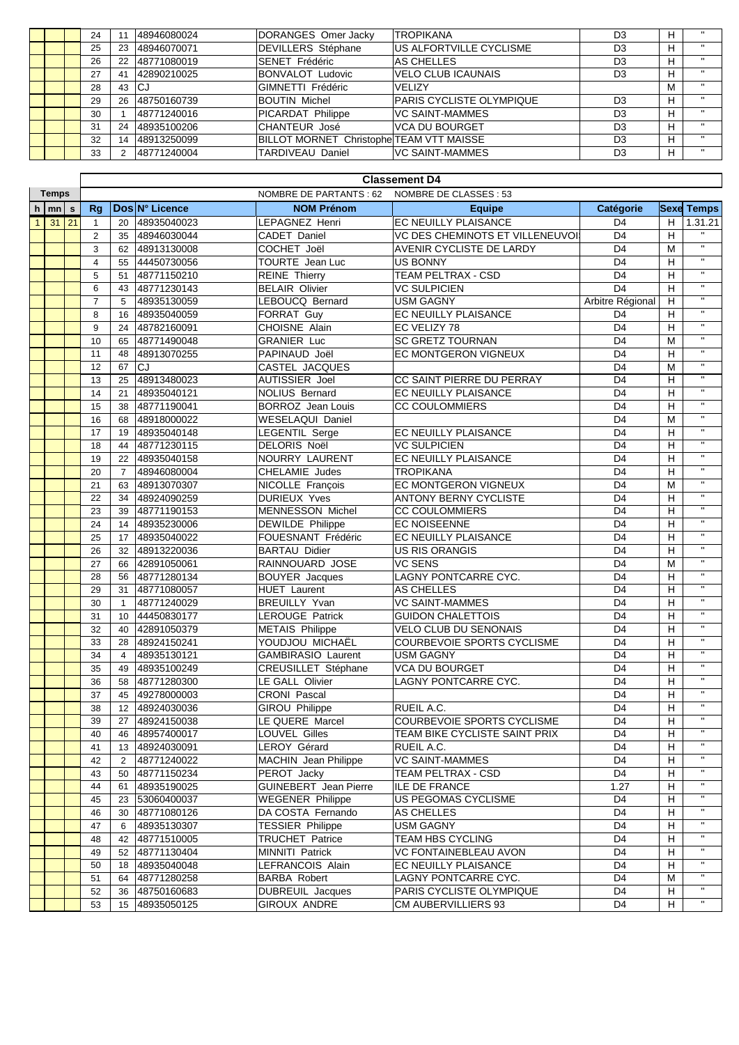|  | 24 |    | 48946080024 | DORANGES Omer Jacky                             | <b>TROPIKANA</b>                 | D <sub>3</sub> | н |              |
|--|----|----|-------------|-------------------------------------------------|----------------------------------|----------------|---|--------------|
|  | 25 | 23 | 48946070071 | <b>DEVILLERS Stéphane</b>                       | <b>IUS ALFORTVILLE CYCLISME</b>  | D <sub>3</sub> | н |              |
|  | 26 | 22 | 48771080019 | SENET Frédéric                                  | IAS CHELLES                      | D <sub>3</sub> | н |              |
|  | 27 | 41 | 42890210025 | <b>BONVALOT Ludovic</b>                         | VELO CLUB ICAUNAIS               | D <sub>3</sub> | н |              |
|  | 28 | 43 | lCJ         | GIMNETTI Frédéric                               | <b>IVELIZY</b>                   |                | М |              |
|  | 29 | 26 | 48750160739 | <b>BOUTIN Michel</b>                            | <b>IPARIS CYCLISTE OLYMPIQUE</b> | D <sub>3</sub> | н | $\mathbf{H}$ |
|  | 30 |    | 48771240016 | <b>PICARDAT Philippe</b>                        | IVC SAINT-MAMMES                 | D <sub>3</sub> | н |              |
|  | 31 | 24 | 48935100206 | <b>CHANTEUR José</b>                            | IVCA DU BOURGET                  | D <sub>3</sub> | н |              |
|  | 32 | 14 | 48913250099 | <b>BILLOT MORNET Christophe TEAM VTT MAISSE</b> |                                  | D <sub>3</sub> | н |              |
|  | 33 | ◠  | 48771240004 | <b>TARDIVEAU Daniel</b>                         | VC SAINT-MAMMES                  | D <sub>3</sub> | н | $\mathbf{H}$ |

|              |           |  | <b>Classement D4</b> |                 |                |                              |                                  |                  |   |                   |  |
|--------------|-----------|--|----------------------|-----------------|----------------|------------------------------|----------------------------------|------------------|---|-------------------|--|
| <b>Temps</b> |           |  |                      |                 |                | NOMBRE DE PARTANTS : 62      | NOMBRE DE CLASSES : 53           |                  |   |                   |  |
| h            | m s       |  | Rg                   |                 | Dos N° Licence | <b>NOM Prénom</b>            | <b>Equipe</b>                    | Catégorie        |   | <b>Sexe Temps</b> |  |
| $\mathbf{1}$ | $31 \ 21$ |  | $\mathbf{1}$         | 20              | 48935040023    | LEPAGNEZ Henri               | EC NEUILLY PLAISANCE             | D <sub>4</sub>   | H | 1.31.21           |  |
|              |           |  | $\overline{2}$       | 35              | 48946030044    | CADET Daniel                 | VC DES CHEMINOTS ET VILLENEUVOIS | D <sub>4</sub>   | H | $\mathbf{H}$      |  |
|              |           |  | 3                    | 62              | 48913130008    | COCHET Joël                  | AVENIR CYCLISTE DE LARDY         | D <sub>4</sub>   | М | $\mathbf{u}$      |  |
|              |           |  | $\overline{4}$       | 55              | 44450730056    | <b>TOURTE</b> Jean Luc       | <b>US BONNY</b>                  | D <sub>4</sub>   | н | $\mathbf{H}$      |  |
|              |           |  | 5                    | 51              | 48771150210    | <b>REINE Thierry</b>         | TEAM PELTRAX - CSD               | D <sub>4</sub>   | н |                   |  |
|              |           |  | 6                    | 43              | 48771230143    | <b>BELAIR Olivier</b>        | <b>VC SULPICIEN</b>              | $\overline{D4}$  | H | $\mathbf{H}$      |  |
|              |           |  | $\overline{7}$       | 5               | 48935130059    | LEBOUCQ Bernard              | <b>USM GAGNY</b>                 | Arbitre Régional | H | $\mathbf{H}$      |  |
|              |           |  | 8                    | 16              | 48935040059    | FORRAT Guy                   | EC NEUILLY PLAISANCE             | D <sub>4</sub>   | H | $\mathbf{H}$      |  |
|              |           |  | 9                    | 24              | 48782160091    | CHOISNE Alain                | EC VELIZY 78                     | D <sub>4</sub>   | н | $\mathbf{H}$      |  |
|              |           |  | 10                   | 65              | 48771490048    | <b>GRANIER Luc</b>           | <b>SC GRETZ TOURNAN</b>          | D <sub>4</sub>   | M | $\mathbf{H}$      |  |
|              |           |  | 11                   | 48              | 48913070255    | PAPINAUD Joël                | <b>EC MONTGERON VIGNEUX</b>      | D <sub>4</sub>   | H | π                 |  |
|              |           |  | 12                   | 67              | lcJ            | CASTEL JACQUES               |                                  | D <sub>4</sub>   | м | $\mathbf{H}$      |  |
|              |           |  | 13                   | 25              | 48913480023    | <b>AUTISSIER Joel</b>        | CC SAINT PIERRE DU PERRAY        | D <sub>4</sub>   | Н | $\mathbf{H}$      |  |
|              |           |  | 14                   | 21              | 48935040121    | NOLIUS Bernard               | EC NEUILLY PLAISANCE             | D <sub>4</sub>   | Н | $\mathbf{H}$      |  |
|              |           |  | 15                   | 38              | 48771190041    | <b>BORROZ</b> Jean Louis     | <b>CC COULOMMIERS</b>            | D <sub>4</sub>   | H | $\mathbf{u}$      |  |
|              |           |  | 16                   | 68              | 48918000022    | <b>WESELAQUI Daniel</b>      |                                  | D <sub>4</sub>   | М | π                 |  |
|              |           |  | 17                   | 19              | 48935040148    | LEGENTIL Serge               | EC NEUILLY PLAISANCE             | D <sub>4</sub>   | Н | $\mathbf{H}$      |  |
|              |           |  | 18                   | 44              | 48771230115    | <b>DELORIS Noël</b>          | <b>VC SULPICIEN</b>              | D <sub>4</sub>   | н | $\mathbf{H}$      |  |
|              |           |  | 19                   | 22              | 48935040158    | NOURRY LAURENT               | <b>EC NEUILLY PLAISANCE</b>      | D <sub>4</sub>   | H | $\mathbf{H}$      |  |
|              |           |  | 20                   | $\overline{7}$  | 48946080004    | CHELAMIE Judes               | <b>TROPIKANA</b>                 | D <sub>4</sub>   | Н | $\mathbf{H}$      |  |
|              |           |  | 21                   | 63              | 48913070307    | NICOLLE François             | EC MONTGERON VIGNEUX             | D <sub>4</sub>   | M | $\mathbf{H}$      |  |
|              |           |  | 22                   | 34              | 48924090259    | <b>DURIEUX Yves</b>          | ANTONY BERNY CYCLISTE            | D <sub>4</sub>   | н | $\mathbf{H}$      |  |
|              |           |  | 23                   | 39              | 48771190153    | <b>MENNESSON Michel</b>      | <b>CC COULOMMIERS</b>            | D <sub>4</sub>   | Н | $\mathbf{H}$      |  |
|              |           |  | 24                   | 14              | 48935230006    | DEWILDE Philippe             | EC NOISEENNE                     | D <sub>4</sub>   | Н | $\mathbf{H}$      |  |
|              |           |  | 25                   | 17              | 48935040022    | FOUESNANT Frédéric           | EC NEUILLY PLAISANCE             | D <sub>4</sub>   | Н | $\mathbf{H}$      |  |
|              |           |  | 26                   | 32              | 48913220036    | <b>BARTAU Didier</b>         | <b>US RIS ORANGIS</b>            | D <sub>4</sub>   | н | $\mathbf{H}$      |  |
|              |           |  | 27                   | 66              | 42891050061    | RAINNOUARD JOSE              | <b>VC SENS</b>                   | D <sub>4</sub>   | M | $\mathbf{H}$      |  |
|              |           |  | 28                   | 56              | 48771280134    | <b>BOUYER</b> Jacques        | <b>LAGNY PONTCARRE CYC.</b>      | D <sub>4</sub>   | н | $\mathbf{H}$      |  |
|              |           |  | 29                   | 31              | 48771080057    | <b>HUET</b> Laurent          | <b>AS CHELLES</b>                | D <sub>4</sub>   | н | $\mathbf{H}$      |  |
|              |           |  | 30                   | $\mathbf{1}$    | 48771240029    | <b>BREUILLY Yvan</b>         | <b>VC SAINT-MAMMES</b>           | D <sub>4</sub>   | н | $\mathbf{H}$      |  |
|              |           |  | 31                   | 10 <sup>°</sup> | 44450830177    | <b>LEROUGE Patrick</b>       | <b>GUIDON CHALETTOIS</b>         | D <sub>4</sub>   | H | $\mathbf{H}$      |  |
|              |           |  | 32                   | 40              | 42891050379    | <b>METAIS Philippe</b>       | <b>VELO CLUB DU SENONAIS</b>     | D <sub>4</sub>   | н |                   |  |
|              |           |  | 33                   | 28              | 48924150241    | YOUDJOU MICHAËL              | COURBEVOIE SPORTS CYCLISME       | D <sub>4</sub>   | H | $\mathbf{H}$      |  |
|              |           |  | 34                   | $\overline{4}$  | 48935130121    | <b>GAMBIRASIO Laurent</b>    | <b>USM GAGNY</b>                 | D <sub>4</sub>   | н | $\mathbf{H}$      |  |
|              |           |  | 35                   | 49              | 48935100249    | CREUSILLET Stéphane          | <b>VCA DU BOURGET</b>            | D <sub>4</sub>   | н | $\mathbf{H}$      |  |
|              |           |  | 36                   | 58              | 48771280300    | LE GALL Olivier              | LAGNY PONTCARRE CYC.             | D <sub>4</sub>   | Н | $\mathbf{H}$      |  |
|              |           |  | 37                   | 45              | 49278000003    | CRONI Pascal                 |                                  | D <sub>4</sub>   | Н | $\mathbf{H}$      |  |
|              |           |  | 38                   | 12              | 48924030036    | <b>GIROU Philippe</b>        | RUEIL A.C.                       | D <sub>4</sub>   | Н | $\mathbf{H}$      |  |
|              |           |  | 39                   |                 | 27 48924150038 | LE QUERE Marcel              | COURBEVOIE SPORTS CYCLISME       | D <sub>4</sub>   | H | $\mathbf{u}$      |  |
|              |           |  | 40                   | 46              | 48957400017    | LOUVEL Gilles                | TEAM BIKE CYCLISTE SAINT PRIX    | D4               | н | $\mathbf{H}$      |  |
|              |           |  | 41                   | 13              | 48924030091    | LEROY Gérard                 | RUEIL A.C.                       | D <sub>4</sub>   | H | $\mathbf{H}$      |  |
|              |           |  | 42                   | 2               | 48771240022    | MACHIN Jean Philippe         | <b>VC SAINT-MAMMES</b>           | D <sub>4</sub>   | н | $\mathbf{H}$      |  |
|              |           |  | 43                   | 50              | 48771150234    | PEROT Jacky                  | TEAM PELTRAX - CSD               | D <sub>4</sub>   | н | $\mathbf{H}$      |  |
|              |           |  | 44                   | 61              | 48935190025    | <b>GUINEBERT</b> Jean Pierre | ILE DE FRANCE                    | 1.27             | н | $\mathbf{H}$      |  |
|              |           |  | 45                   | 23              | 53060400037    | <b>WEGENER Philippe</b>      | US PEGOMAS CYCLISME              | D <sub>4</sub>   | н | $\mathbf{H}$      |  |
|              |           |  | 46                   | 30              | 48771080126    | DA COSTA Fernando            | AS CHELLES                       | D <sub>4</sub>   | н | $\mathbf{H}$      |  |
|              |           |  | 47                   | 6               | 48935130307    | <b>TESSIER Philippe</b>      | USM GAGNY                        | D <sub>4</sub>   | н | $\mathbf{H}$      |  |
|              |           |  | 48                   | 42              | 48771510005    | TRUCHET Patrice              | TEAM HBS CYCLING                 | D <sub>4</sub>   | н | $\mathbf{H}$      |  |
|              |           |  | 49                   | 52              | 48771130404    | MINNITI Patrick              | VC FONTAINEBLEAU AVON            | D <sub>4</sub>   | н | $\mathbf{H}$      |  |
|              |           |  | 50                   | 18              | 48935040048    | LEFRANCOIS Alain             | EC NEUILLY PLAISANCE             | D <sub>4</sub>   | H | $\mathbf{H}$      |  |
|              |           |  | 51                   | 64              | 48771280258    | <b>BARBA Robert</b>          | LAGNY PONTCARRE CYC.             | D <sub>4</sub>   | м |                   |  |
|              |           |  | 52                   | 36              | 48750160683    | <b>DUBREUIL Jacques</b>      | PARIS CYCLISTE OLYMPIQUE         | D <sub>4</sub>   | н | $\mathbf{H}$      |  |
|              |           |  | 53                   |                 | 15 48935050125 | GIROUX ANDRE                 | CM AUBERVILLIERS 93              | D <sub>4</sub>   | Н | $\mathbf{H}$      |  |